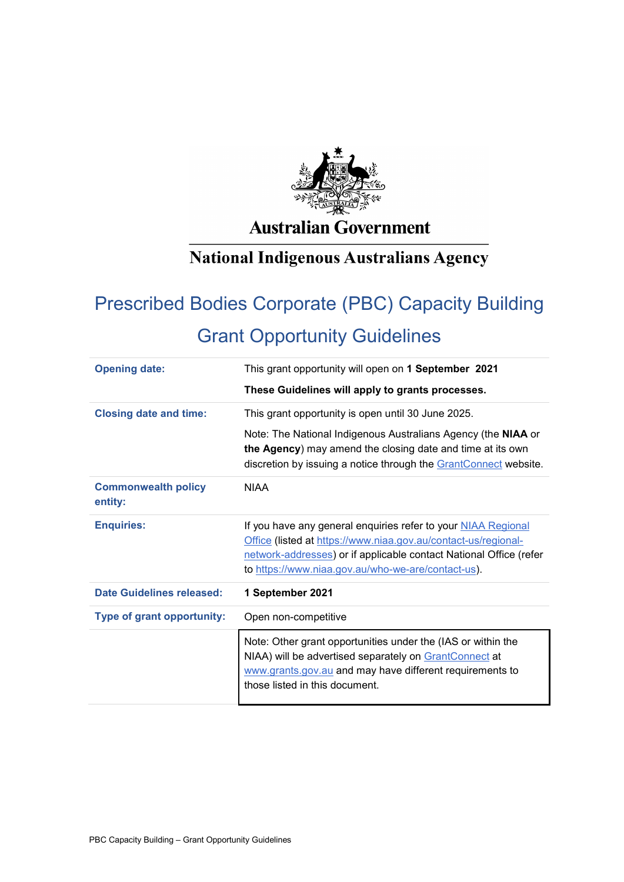

# **Australian Government**

# **National Indigenous Australians Agency**

# Prescribed Bodies Corporate (PBC) Capacity Building Grant Opportunity Guidelines

| <b>Opening date:</b>                  | This grant opportunity will open on 1 September 2021                                                                                                                                                                                                        |
|---------------------------------------|-------------------------------------------------------------------------------------------------------------------------------------------------------------------------------------------------------------------------------------------------------------|
|                                       | These Guidelines will apply to grants processes.                                                                                                                                                                                                            |
| <b>Closing date and time:</b>         | This grant opportunity is open until 30 June 2025.                                                                                                                                                                                                          |
|                                       | Note: The National Indigenous Australians Agency (the NIAA or<br>the Agency) may amend the closing date and time at its own<br>discretion by issuing a notice through the GrantConnect website.                                                             |
| <b>Commonwealth policy</b><br>entity: | <b>NIAA</b>                                                                                                                                                                                                                                                 |
| <b>Enquiries:</b>                     | If you have any general enquiries refer to your NIAA Regional<br>Office (listed at https://www.niaa.gov.au/contact-us/regional-<br>network-addresses) or if applicable contact National Office (refer<br>to https://www.niaa.gov.au/who-we-are/contact-us). |
| <b>Date Guidelines released:</b>      | 1 September 2021                                                                                                                                                                                                                                            |
| <b>Type of grant opportunity:</b>     | Open non-competitive                                                                                                                                                                                                                                        |
|                                       | Note: Other grant opportunities under the (IAS or within the<br>NIAA) will be advertised separately on GrantConnect at<br>www.grants.gov.au and may have different requirements to<br>those listed in this document.                                        |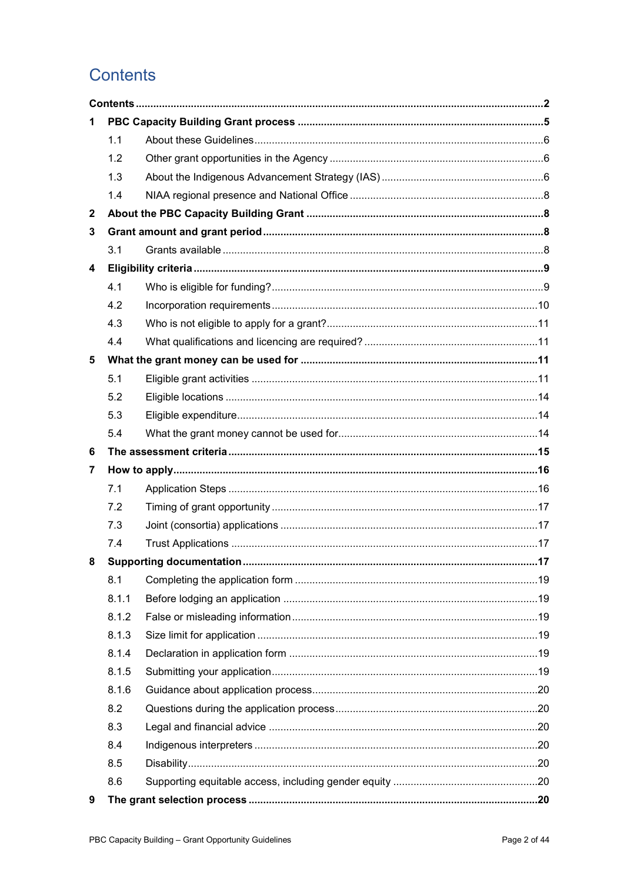# **Contents**

| 1            |       |  |
|--------------|-------|--|
|              | 1.1   |  |
|              | 1.2   |  |
|              | 1.3   |  |
|              | 1.4   |  |
| $\mathbf{2}$ |       |  |
| 3            |       |  |
|              | 3.1   |  |
| 4            |       |  |
|              | 4.1   |  |
|              | 4.2   |  |
|              | 4.3   |  |
|              | 4.4   |  |
| 5            |       |  |
|              | 5.1   |  |
|              | 5.2   |  |
|              | 5.3   |  |
|              | 5.4   |  |
| 6            |       |  |
| 7            |       |  |
|              | 7.1   |  |
|              | 7.2   |  |
|              | 7.3   |  |
|              | 7.4   |  |
| 8            |       |  |
|              | 8.1   |  |
|              | 8.1.1 |  |
|              | 8.1.2 |  |
|              | 8.1.3 |  |
|              | 8.1.4 |  |
|              | 8.1.5 |  |
|              | 8.1.6 |  |
|              | 8.2   |  |
|              | 8.3   |  |
|              | 8.4   |  |
|              | 8.5   |  |
|              | 8.6   |  |
| 9            |       |  |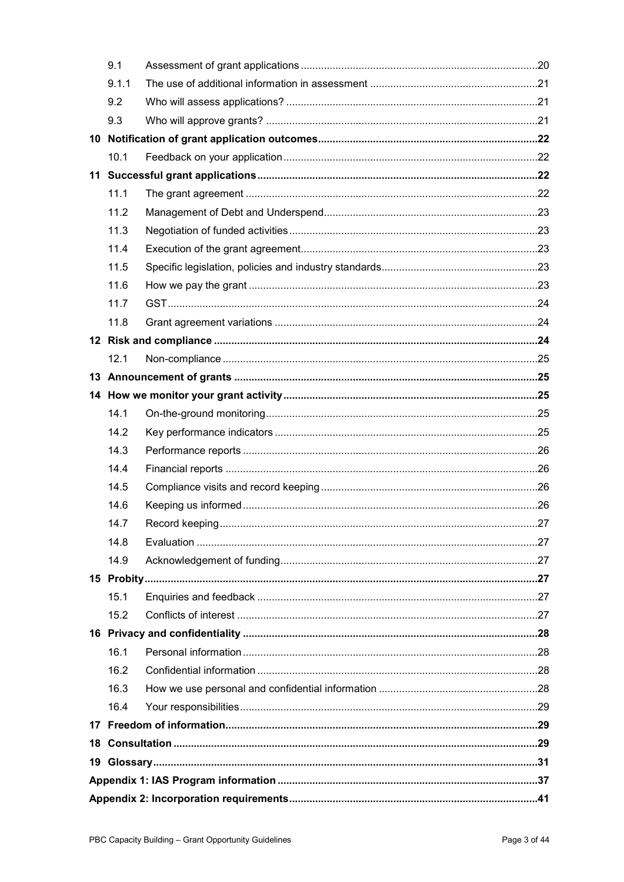| 9.1   |  |  |
|-------|--|--|
| 9.1.1 |  |  |
| 9.2   |  |  |
| 9.3   |  |  |
|       |  |  |
| 10.1  |  |  |
|       |  |  |
| 11.1  |  |  |
| 11.2  |  |  |
| 11.3  |  |  |
| 11.4  |  |  |
| 11.5  |  |  |
| 11.6  |  |  |
| 11.7  |  |  |
| 11.8  |  |  |
|       |  |  |
| 12.1  |  |  |
|       |  |  |
|       |  |  |
| 14.1  |  |  |
| 14.2  |  |  |
| 14.3  |  |  |
| 14.4  |  |  |
| 14.5  |  |  |
| 14.6  |  |  |
| 14.7  |  |  |
| 14.8  |  |  |
| 14.9  |  |  |
|       |  |  |
| 15.1  |  |  |
| 15.2  |  |  |
|       |  |  |
| 16.1  |  |  |
| 16.2  |  |  |
| 16.3  |  |  |
| 16.4  |  |  |
|       |  |  |
|       |  |  |
|       |  |  |
|       |  |  |
|       |  |  |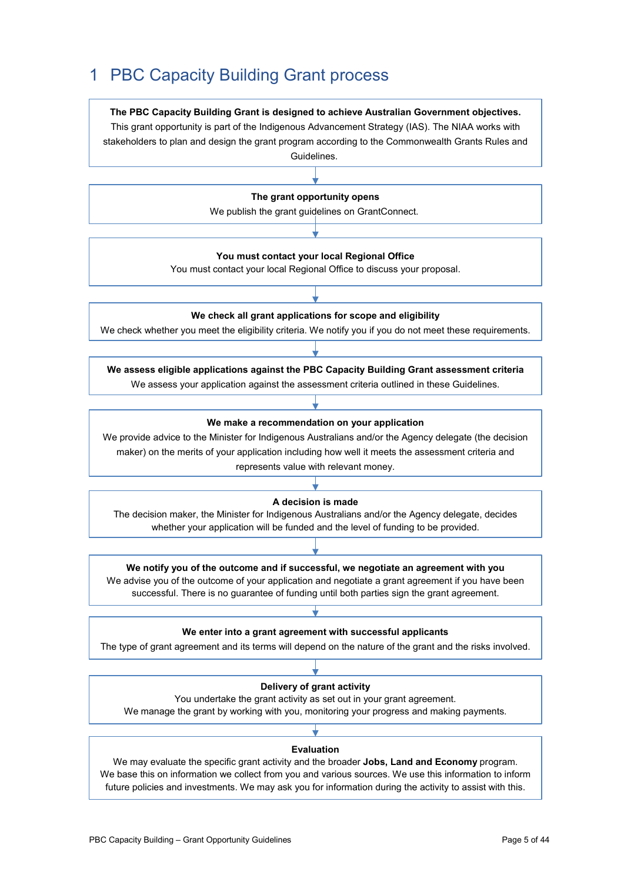# 1 PBC Capacity Building Grant process

**The PBC Capacity Building Grant is designed to achieve Australian Government objectives.** This grant opportunity is part of the Indigenous Advancement Strategy (IAS). The NIAA works with stakeholders to plan and design the grant program according to the Commonwealth Grants Rules and

Guidelines.

#### **The grant opportunity opens**

We publish the grant guidelines on GrantConnect.

#### **You must contact your local Regional Office**

You must contact your local Regional Office to discuss your proposal.

#### **We check all grant applications for scope and eligibility**

We check whether you meet the eligibility criteria. We notify you if you do not meet these requirements.

**We assess eligible applications against the PBC Capacity Building Grant assessment criteria** We assess your application against the assessment criteria outlined in these Guidelines.

#### **We make a recommendation on your application**

We provide advice to the Minister for Indigenous Australians and/or the Agency delegate (the decision maker) on the merits of your application including how well it meets the assessment criteria and represents value with relevant money.

#### **A decision is made**

The decision maker, the Minister for Indigenous Australians and/or the Agency delegate, decides whether your application will be funded and the level of funding to be provided.

**We notify you of the outcome and if successful, we negotiate an agreement with you**  We advise you of the outcome of your application and negotiate a grant agreement if you have been successful. There is no guarantee of funding until both parties sign the grant agreement.

#### **We enter into a grant agreement with successful applicants**

The type of grant agreement and its terms will depend on the nature of the grant and the risks involved.

#### **Delivery of grant activity**

You undertake the grant activity as set out in your grant agreement. We manage the grant by working with you, monitoring your progress and making payments.

#### **Evaluation**

We may evaluate the specific grant activity and the broader **Jobs, Land and Economy** program. We base this on information we collect from you and various sources. We use this information to inform future policies and investments. We may ask you for information during the activity to assist with this.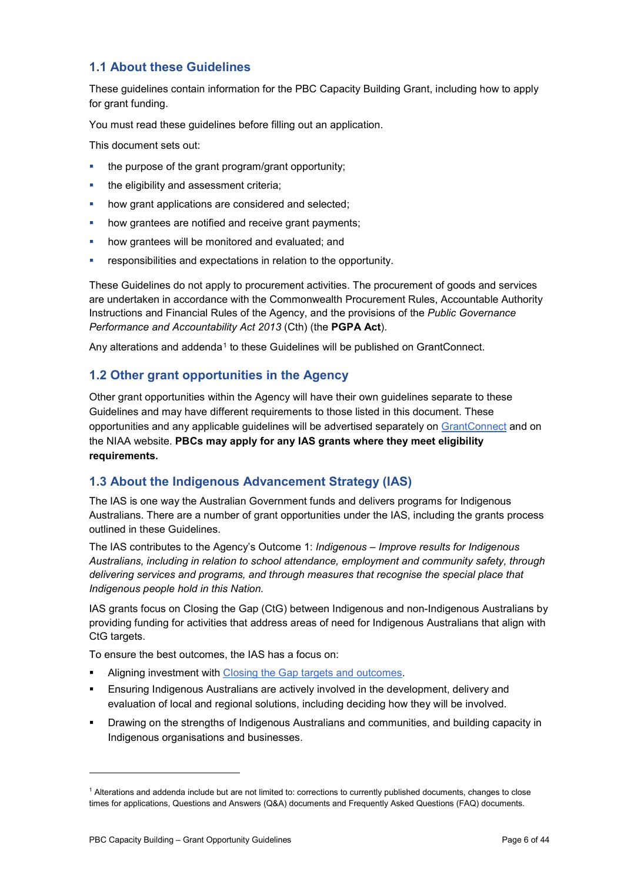#### **1.1 About these Guidelines**

These guidelines contain information for the PBC Capacity Building Grant, including how to apply for grant funding.

You must read these guidelines before filling out an application.

This document sets out:

- $\blacksquare$  the purpose of the grant program/grant opportunity;
- the eligibility and assessment criteria;
- how grant applications are considered and selected;
- how grantees are notified and receive grant payments;
- how grantees will be monitored and evaluated; and
- responsibilities and expectations in relation to the opportunity.

These Guidelines do not apply to procurement activities. The procurement of goods and services are undertaken in accordance with the Commonwealth Procurement Rules, Accountable Authority Instructions and Financial Rules of the Agency, and the provisions of the *Public Governance Performance and Accountability Act 2013* (Cth) (the **PGPA Act**).

Any alterations and addenda<sup>[1](#page-5-0)</sup> to these Guidelines will be published on [GrantConnect.](https://www.grants.gov.au/)

#### **1.2 Other grant opportunities in the Agency**

Other grant opportunities within the Agency will have their own guidelines separate to these Guidelines and may have different requirements to those listed in this document. These opportunities and any applicable guidelines will be advertised separately on [GrantConnect](https://www.grants.gov.au/) and on the NIAA website. **PBCs may apply for any IAS grants where they meet eligibility requirements.**

### **1.3 About the Indigenous Advancement Strategy (IAS)**

The IAS is one way the Australian Government funds and delivers programs for Indigenous Australians. There are a number of grant opportunities under the IAS, including the grants process outlined in these Guidelines.

The IAS contributes to the Agency's Outcome 1: *Indigenous – Improve results for Indigenous Australians, including in relation to school attendance, employment and community safety, through delivering services and programs, and through measures that recognise the special place that Indigenous people hold in this Nation.*

IAS grants focus on Closing the Gap (CtG) between Indigenous and non-Indigenous Australians by providing funding for activities that address areas of need for Indigenous Australians that align with CtG targets.

To ensure the best outcomes, the IAS has a focus on:

- Aligning investment with [Closing the Gap targets and outcomes.](https://www.closingthegap.gov.au/national-agreement/targets)
- Ensuring Indigenous Australians are actively involved in the development, delivery and evaluation of local and regional solutions, including deciding how they will be involved.
- Drawing on the strengths of Indigenous Australians and communities, and building capacity in Indigenous organisations and businesses.

-

<span id="page-5-0"></span><sup>1</sup> Alterations and addenda include but are not limited to: corrections to currently published documents, changes to close times for applications, Questions and Answers (Q&A) documents and Frequently Asked Questions (FAQ) documents.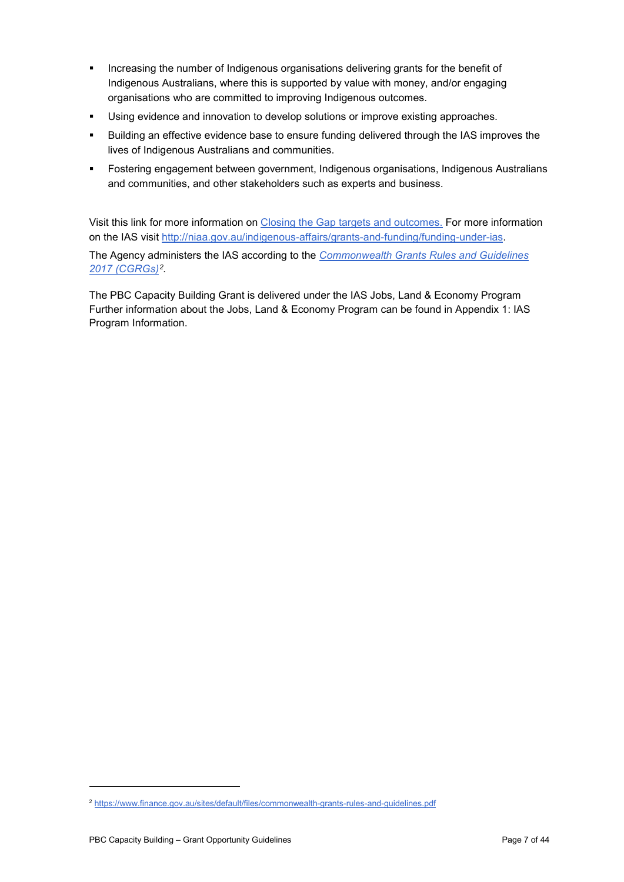- Increasing the number of Indigenous organisations delivering grants for the benefit of Indigenous Australians, where this is supported by value with money, and/or engaging organisations who are committed to improving Indigenous outcomes.
- Using evidence and innovation to develop solutions or improve existing approaches.
- Building an effective evidence base to ensure funding delivered through the IAS improves the lives of Indigenous Australians and communities.
- Fostering engagement between government, Indigenous organisations, Indigenous Australians and communities, and other stakeholders such as experts and business.

Visit this link for more information on [Closing the Gap targets and outcomes.](https://www.closingthegap.gov.au/national-agreement/targets) For more information on the IAS visit [http://niaa.gov.au/indigenous-affairs/grants-and-funding/funding-under-ias.](http://niaa.gov.au/indigenous-affairs/grants-and-funding/funding-under-ias)

The Agency administers the IAS according to the *[Commonwealth Grants Rules and Guidelines](https://www.finance.gov.au/government/commonwealth-grants/commonwealth-grants-rules-guidelines)  [2017 \(CGRGs\)](https://www.finance.gov.au/government/commonwealth-grants/commonwealth-grants-rules-guidelines)[2.](#page-6-0)*

The PBC Capacity Building Grant is delivered under the IAS Jobs, Land & Economy Program Further information about the Jobs, Land & Economy Program can be found in Appendix 1: IAS Program Information.

-

<span id="page-6-0"></span><sup>2</sup> <https://www.finance.gov.au/sites/default/files/commonwealth-grants-rules-and-guidelines.pdf>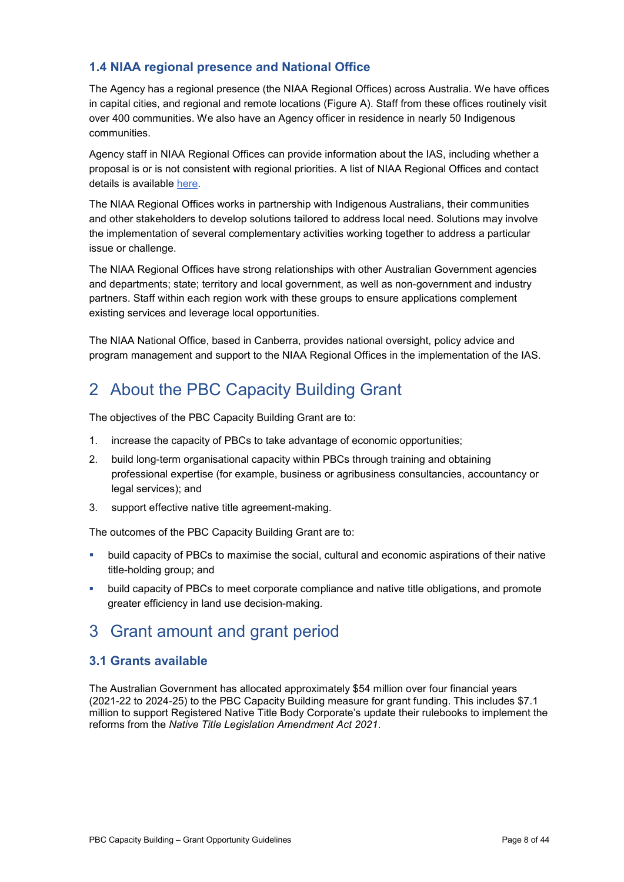### **1.4 NIAA regional presence and National Office**

The Agency has a regional presence (the NIAA Regional Offices) across Australia. We have offices in capital cities, and regional and remote locations (Figure A). Staff from these offices routinely visit over 400 communities. We also have an Agency officer in residence in nearly 50 Indigenous communities.

Agency staff in NIAA Regional Offices can provide information about the IAS, including whether a proposal is or is not consistent with regional priorities. A list of NIAA Regional Offices and contact details is available [here.](https://www.niaa.gov.au/contact-us/regional-network-addresses)

The NIAA Regional Offices works in partnership with Indigenous Australians, their communities and other stakeholders to develop solutions tailored to address local need. Solutions may involve the implementation of several complementary activities working together to address a particular issue or challenge.

The NIAA Regional Offices have strong relationships with other Australian Government agencies and departments; state; territory and local government, as well as non-government and industry partners. Staff within each region work with these groups to ensure applications complement existing services and leverage local opportunities.

The NIAA National Office, based in Canberra, provides national oversight, policy advice and program management and support to the NIAA Regional Offices in the implementation of the IAS.

# 2 About the PBC Capacity Building Grant

The objectives of the PBC Capacity Building Grant are to:

- 1. increase the capacity of PBCs to take advantage of economic opportunities;
- 2. build long-term organisational capacity within PBCs through training and obtaining professional expertise (for example, business or agribusiness consultancies, accountancy or legal services); and
- 3. support effective native title agreement-making.

The outcomes of the PBC Capacity Building Grant are to:

- build capacity of PBCs to maximise the social, cultural and economic aspirations of their native title-holding group; and
- build capacity of PBCs to meet corporate compliance and native title obligations, and promote greater efficiency in land use decision-making.

# 3 Grant amount and grant period

### **3.1 Grants available**

The Australian Government has allocated approximately \$54 million over four financial years (2021-22 to 2024-25) to the PBC Capacity Building measure for grant funding. This includes \$7.1 million to support Registered Native Title Body Corporate's update their rulebooks to implement the reforms from the *Native Title Legislation Amendment Act 2021*.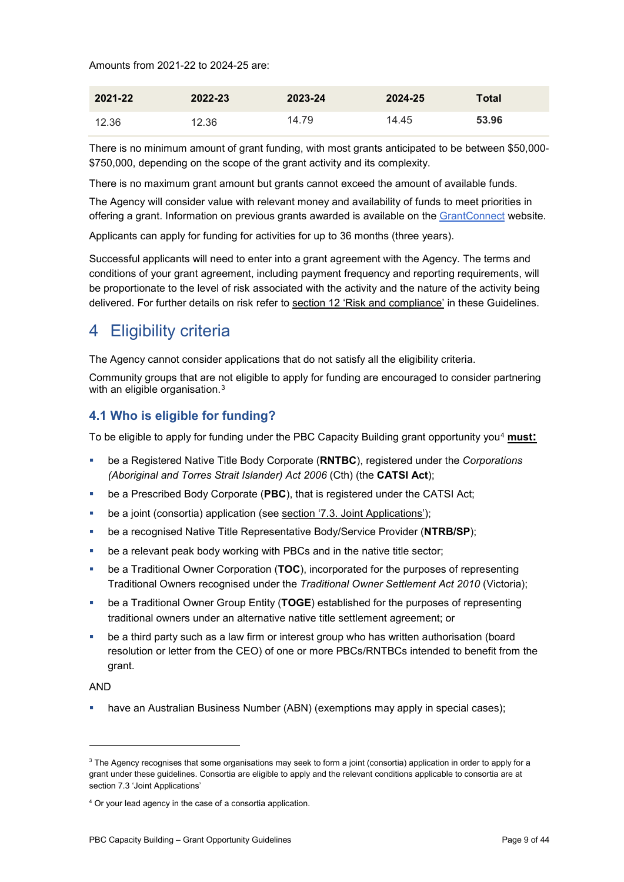Amounts from 2021-22 to 2024-25 are:

| 2021-22 | 2022-23 | 2023-24 | 2024-25 | Total |
|---------|---------|---------|---------|-------|
| 12.36   | 12.36   | 14.79   | 14.45   | 53.96 |

There is no minimum amount of grant funding, with most grants anticipated to be between \$50,000- \$750,000, depending on the scope of the grant activity and its complexity.

There is no maximum grant amount but grants cannot exceed the amount of available funds.

The Agency will consider value with relevant money and availability of funds to meet priorities in offering a grant. Information on previous grants awarded is available on the [GrantConnect](https://www.grants.gov.au/) website.

Applicants can apply for funding for activities for up to 36 months (three years).

Successful applicants will need to enter into a grant agreement with the Agency. The terms and conditions of your grant agreement, including payment frequency and reporting requirements, will be proportionate to the level of risk associated with the activity and the nature of the activity being delivered. For further details on risk refer to section 12 ['Risk and compliance'](#page-23-0) in these Guidelines.

# <span id="page-8-2"></span>4 Eligibility criteria

The Agency cannot consider applications that do not satisfy all the eligibility criteria.

Community groups that are not eligible to apply for funding are encouraged to consider partnering with an eligible organisation.<sup>[3](#page-8-0)</sup>

#### **4.1 Who is eligible for funding?**

To be eligible to apply for funding under the PBC Capacity Building grant opportunity you[4](#page-8-1) **must:**

- be a Registered Native Title Body Corporate (**RNTBC**), registered under the *Corporations (Aboriginal and Torres Strait Islander) Act 2006* (Cth) (the **CATSI Act**);
- be a Prescribed Body Corporate (**PBC**), that is registered under the CATSI Act;
- be a joint (consortia) application (see section ['7.3.](#page-16-0) Joint Applications');
- be a recognised Native Title Representative Body/Service Provider (**NTRB/SP**);
- **•** be a relevant peak body working with PBCs and in the native title sector;
- be a Traditional Owner Corporation (**TOC**), incorporated for the purposes of representing Traditional Owners recognised under the *Traditional Owner Settlement Act 2010* (Victoria);
- be a Traditional Owner Group Entity (**TOGE**) established for the purposes of representing traditional owners under an alternative native title settlement agreement; or
- be a third party such as a law firm or interest group who has written authorisation (board resolution or letter from the CEO) of one or more PBCs/RNTBCs intended to benefit from the grant.

#### AND

-

have an Australian Business Number (ABN) (exemptions may apply in special cases);

<span id="page-8-0"></span><sup>&</sup>lt;sup>3</sup> The Agency recognises that some organisations may seek to form a joint (consortia) application in order to apply for a grant under these guidelines. Consortia are eligible to apply and the relevant conditions applicable to consortia are at section 7.3 'Joint Applications'

<span id="page-8-1"></span><sup>4</sup> Or your lead agency in the case of a consortia application.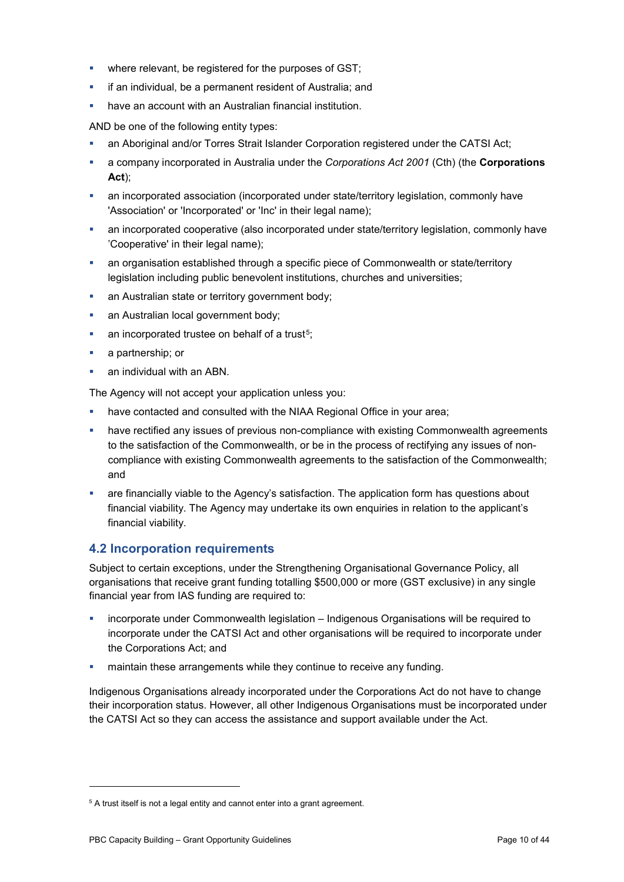- where relevant, be registered for the purposes of GST;
- **i** if an individual, be a permanent resident of Australia; and
- have an account with an Australian financial institution.

AND be one of the following entity types:

- an Aboriginal and/or Torres Strait Islander Corporation registered under the CATSI Act;
- a company incorporated in Australia under the *Corporations Act 2001* (Cth) (the **Corporations Act**);
- **an incorporated association (incorporated under state/territory legislation, commonly have** 'Association' or 'Incorporated' or 'Inc' in their legal name);
- an incorporated cooperative (also incorporated under state/territory legislation, commonly have 'Cooperative' in their legal name);
- an organisation established through a specific piece of Commonwealth or state/territory legislation including public benevolent institutions, churches and universities;
- **an Australian state or territory government body;**
- an Australian local government body;
- an incorporated trustee on behalf of a trust<sup>5</sup>;
- a partnership; or
- **an individual with an ABN.**

The Agency will not accept your application unless you:

- have contacted and consulted with the NIAA Regional Office in your area;
- **have rectified any issues of previous non-compliance with existing Commonwealth agreements** to the satisfaction of the Commonwealth, or be in the process of rectifying any issues of noncompliance with existing Commonwealth agreements to the satisfaction of the Commonwealth; and
- are financially viable to the Agency's satisfaction. The application form has questions about financial viability. The Agency may undertake its own enquiries in relation to the applicant's financial viability.

### **4.2 Incorporation requirements**

Subject to certain exceptions, under the Strengthening Organisational Governance Policy, all organisations that receive grant funding totalling \$500,000 or more (GST exclusive) in any single financial year from IAS funding are required to:

- incorporate under Commonwealth legislation Indigenous Organisations will be required to incorporate under the CATSI Act and other organisations will be required to incorporate under the Corporations Act; and
- **maintain these arrangements while they continue to receive any funding.**

Indigenous Organisations already incorporated under the Corporations Act do not have to change their incorporation status. However, all other Indigenous Organisations must be incorporated under the CATSI Act so they can access the assistance and support available under the Act.

-

<span id="page-9-0"></span><sup>5</sup> A trust itself is not a legal entity and cannot enter into a grant agreement.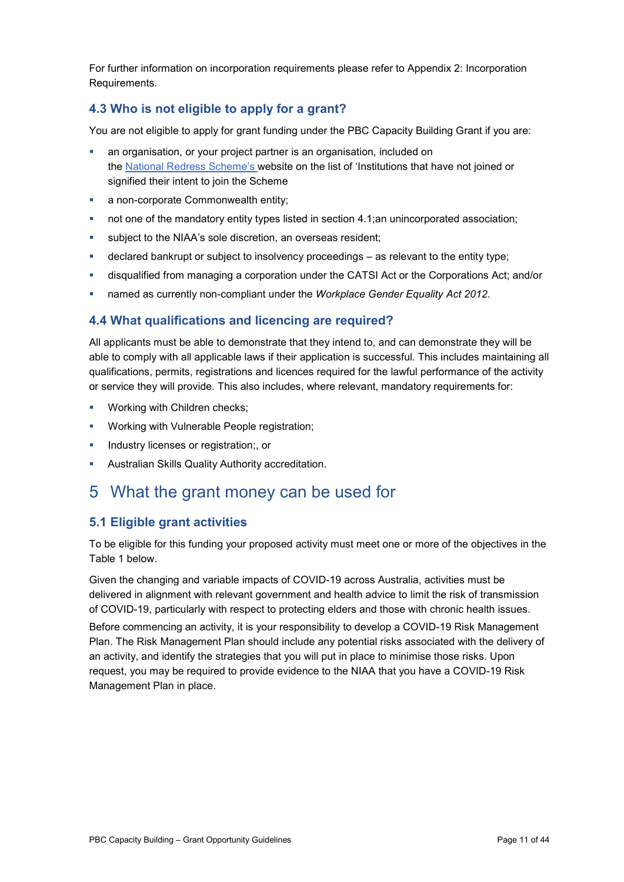For further information on incorporation requirements please refer to Appendix 2: Incorporation Requirements.

### **4.3 Who is not eligible to apply for a grant?**

You are not eligible to apply for grant funding under the PBC Capacity Building Grant if you are:

- an organisation, or your project partner is an organisation, included on the National Redress [Scheme's](https://www.nationalredress.gov.au/) website on the list of 'Institutions that have not joined or signified their intent to join the Scheme
- a non-corporate Commonwealth entity;
- not one of the mandatory entity types listed in section 4.1;an unincorporated association;
- subject to the NIAA's sole discretion, an overseas resident;
- declared bankrupt or subject to insolvency proceedings as relevant to the entity type;
- disqualified from managing a corporation under the CATSI Act or the Corporations Act; and/or
- named as currently non-compliant under the *Workplace Gender Equality Act 2012*.

#### <span id="page-10-0"></span>**4.4 What qualifications and licencing are required?**

All applicants must be able to demonstrate that they intend to, and can demonstrate they will be able to comply with all applicable laws if their application is successful. This includes maintaining all qualifications, permits, registrations and licences required for the lawful performance of the activity or service they will provide. This also includes, where relevant, mandatory requirements for:

- **Working with Children checks;**
- Working with Vulnerable People registration;
- **Industry licenses or registration;, or**
- Australian Skills Quality Authority accreditation.

## 5 What the grant money can be used for

#### **5.1 Eligible grant activities**

To be eligible for this funding your proposed activity must meet one or more of the objectives in the Table 1 below.

Given the changing and variable impacts of COVID-19 across Australia, activities must be delivered in alignment with relevant government and health advice to limit the risk of transmission of COVID-19, particularly with respect to protecting elders and those with chronic health issues.

Before commencing an activity, it is your responsibility to develop a COVID-19 Risk Management Plan. The Risk Management Plan should include any potential risks associated with the delivery of an activity, and identify the strategies that you will put in place to minimise those risks. Upon request, you may be required to provide evidence to the NIAA that you have a COVID-19 Risk Management Plan in place.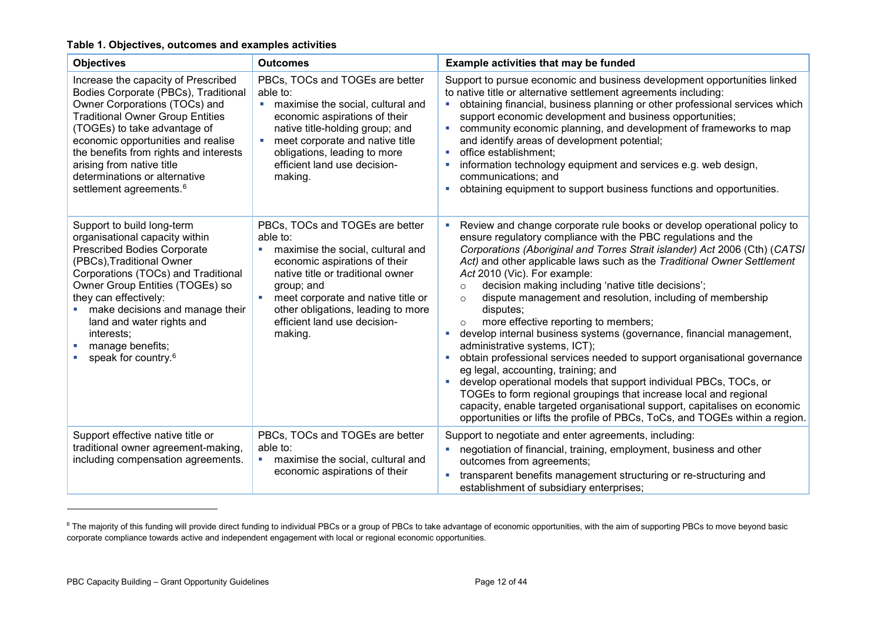#### <span id="page-11-1"></span>**Table 1. Objectives, outcomes and examples activities**

<span id="page-11-0"></span>

| <b>Objectives</b>                                                                                                                                                                                                                                                                                                                                                            | <b>Outcomes</b>                                                                                                                                                                                                                                                                                                            | Example activities that may be funded                                                                                                                                                                                                                                                                                                                                                                                                                                                                                                                                                                                                                                                                                                                                                                                                                                                                                                                                                                                                                                                                                                       |
|------------------------------------------------------------------------------------------------------------------------------------------------------------------------------------------------------------------------------------------------------------------------------------------------------------------------------------------------------------------------------|----------------------------------------------------------------------------------------------------------------------------------------------------------------------------------------------------------------------------------------------------------------------------------------------------------------------------|---------------------------------------------------------------------------------------------------------------------------------------------------------------------------------------------------------------------------------------------------------------------------------------------------------------------------------------------------------------------------------------------------------------------------------------------------------------------------------------------------------------------------------------------------------------------------------------------------------------------------------------------------------------------------------------------------------------------------------------------------------------------------------------------------------------------------------------------------------------------------------------------------------------------------------------------------------------------------------------------------------------------------------------------------------------------------------------------------------------------------------------------|
| Increase the capacity of Prescribed<br>Bodies Corporate (PBCs), Traditional<br>Owner Corporations (TOCs) and<br><b>Traditional Owner Group Entities</b><br>(TOGEs) to take advantage of<br>economic opportunities and realise<br>the benefits from rights and interests<br>arising from native title<br>determinations or alternative<br>settlement agreements. <sup>6</sup> | PBCs, TOCs and TOGEs are better<br>able to:<br>maximise the social, cultural and<br>$\mathcal{L}_{\mathcal{A}}$<br>economic aspirations of their<br>native title-holding group; and<br>meet corporate and native title<br>obligations, leading to more<br>efficient land use decision-<br>making.                          | Support to pursue economic and business development opportunities linked<br>to native title or alternative settlement agreements including:<br>obtaining financial, business planning or other professional services which<br>support economic development and business opportunities;<br>community economic planning, and development of frameworks to map<br>m.<br>and identify areas of development potential;<br>office establishment;<br><b>COL</b><br>information technology equipment and services e.g. web design,<br>u,<br>communications; and<br>obtaining equipment to support business functions and opportunities.<br>a.                                                                                                                                                                                                                                                                                                                                                                                                                                                                                                       |
| Support to build long-term<br>organisational capacity within<br><b>Prescribed Bodies Corporate</b><br>(PBCs), Traditional Owner<br>Corporations (TOCs) and Traditional<br>Owner Group Entities (TOGEs) so<br>they can effectively:<br>make decisions and manage their<br>land and water rights and<br>interests:<br>manage benefits;<br>speak for country. <sup>6</sup>      | PBCs, TOCs and TOGEs are better<br>able to:<br>maximise the social, cultural and<br>economic aspirations of their<br>native title or traditional owner<br>group; and<br>meet corporate and native title or<br>$\mathcal{L}_{\mathcal{A}}$<br>other obligations, leading to more<br>efficient land use decision-<br>making. | Review and change corporate rule books or develop operational policy to<br>ш<br>ensure regulatory compliance with the PBC regulations and the<br>Corporations (Aboriginal and Torres Strait islander) Act 2006 (Cth) (CATSI<br>Act) and other applicable laws such as the Traditional Owner Settlement<br>Act 2010 (Vic). For example:<br>decision making including 'native title decisions';<br>$\circ$<br>dispute management and resolution, including of membership<br>$\circ$<br>disputes;<br>more effective reporting to members;<br>$\circ$<br>develop internal business systems (governance, financial management,<br>a.<br>administrative systems, ICT);<br>obtain professional services needed to support organisational governance<br>$\mathcal{L}_{\mathcal{A}}$<br>eg legal, accounting, training; and<br>develop operational models that support individual PBCs, TOCs, or<br>$\blacksquare$<br>TOGEs to form regional groupings that increase local and regional<br>capacity, enable targeted organisational support, capitalises on economic<br>opportunities or lifts the profile of PBCs, ToCs, and TOGEs within a region. |
| Support effective native title or<br>traditional owner agreement-making,<br>including compensation agreements.                                                                                                                                                                                                                                                               | PBCs, TOCs and TOGEs are better<br>able to:<br>maximise the social, cultural and<br>$\mathcal{L}_{\mathcal{A}}$<br>economic aspirations of their                                                                                                                                                                           | Support to negotiate and enter agreements, including:<br>negotiation of financial, training, employment, business and other<br>ш<br>outcomes from agreements;<br>transparent benefits management structuring or re-structuring and<br>u,<br>establishment of subsidiary enterprises;                                                                                                                                                                                                                                                                                                                                                                                                                                                                                                                                                                                                                                                                                                                                                                                                                                                        |

<sup>&</sup>lt;sup>6</sup> The majority of this funding will provide direct funding to individual PBCs or a group of PBCs to take advantage of economic opportunities, with the aim of supporting PBCs to move beyond basic corporate compliance towards active and independent engagement with local or regional economic opportunities.

-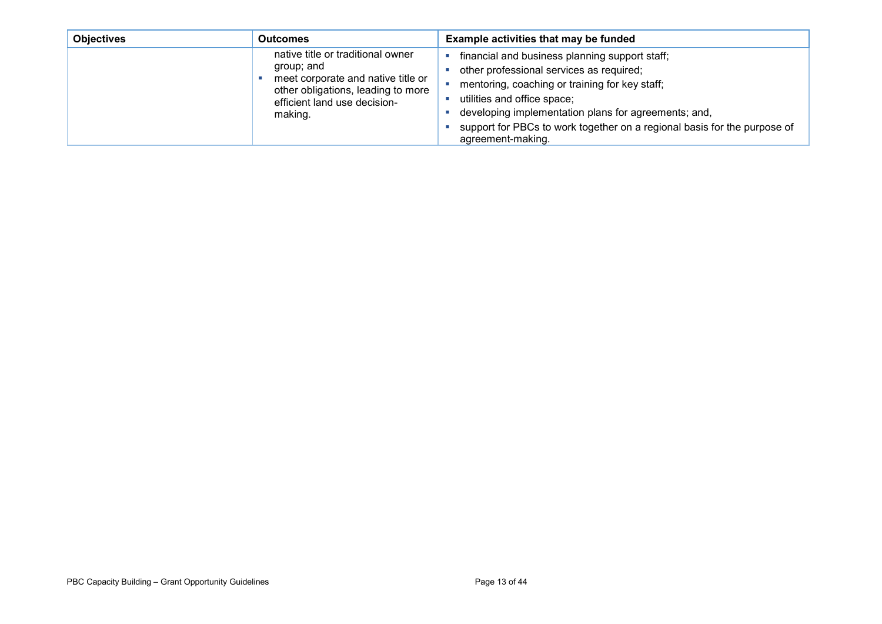| <b>Objectives</b> | <b>Outcomes</b>                                                                                                                                                        | Example activities that may be funded                                                                                                                                                                                                                                                                                                |
|-------------------|------------------------------------------------------------------------------------------------------------------------------------------------------------------------|--------------------------------------------------------------------------------------------------------------------------------------------------------------------------------------------------------------------------------------------------------------------------------------------------------------------------------------|
|                   | native title or traditional owner<br>group; and<br>meet corporate and native title or<br>other obligations, leading to more<br>efficient land use decision-<br>making. | financial and business planning support staff;<br>other professional services as required;<br>mentoring, coaching or training for key staff;<br>utilities and office space;<br>developing implementation plans for agreements; and,<br>support for PBCs to work together on a regional basis for the purpose of<br>agreement-making. |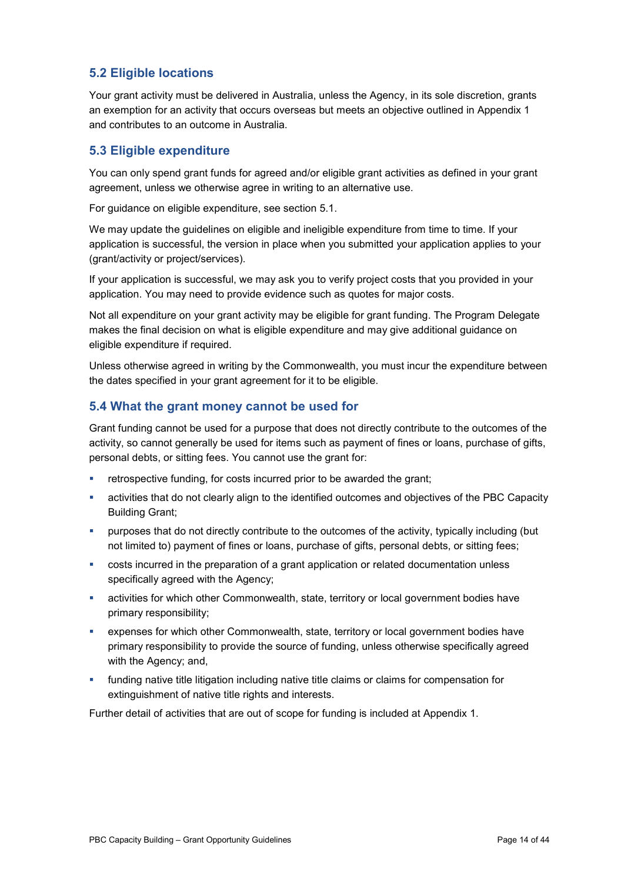### **5.2 Eligible locations**

Your grant activity must be delivered in Australia, unless the Agency, in its sole discretion, grants an exemption for an activity that occurs overseas but meets an objective outlined in Appendix 1 and contributes to an outcome in Australia.

#### **5.3 Eligible expenditure**

You can only spend grant funds for agreed and/or eligible grant activities as defined in your grant agreement, unless we otherwise agree in writing to an alternative use.

For guidance on eligible expenditure, see section 5.1.

We may update the guidelines on eligible and ineligible expenditure from time to time. If your application is successful, the version in place when you submitted your application applies to your (grant/activity or project/services).

If your application is successful, we may ask you to verify project costs that you provided in your application. You may need to provide evidence such as quotes for major costs.

Not all expenditure on your grant activity may be eligible for grant funding. The Program Delegate makes the final decision on what is eligible expenditure and may give additional guidance on eligible expenditure if required.

Unless otherwise agreed in writing by the Commonwealth, you must incur the expenditure between the dates specified in your grant agreement for it to be eligible.

#### **5.4 What the grant money cannot be used for**

Grant funding cannot be used for a purpose that does not directly contribute to the outcomes of the activity, so cannot generally be used for items such as payment of fines or loans, purchase of gifts, personal debts, or sitting fees. You cannot use the grant for:

- retrospective funding, for costs incurred prior to be awarded the grant;
- activities that do not clearly align to the identified outcomes and objectives of the PBC Capacity Building Grant;
- purposes that do not directly contribute to the outcomes of the activity, typically including (but not limited to) payment of fines or loans, purchase of gifts, personal debts, or sitting fees;
- costs incurred in the preparation of a grant application or related documentation unless specifically agreed with the Agency;
- activities for which other Commonwealth, state, territory or local government bodies have primary responsibility;
- expenses for which other Commonwealth, state, territory or local government bodies have primary responsibility to provide the source of funding, unless otherwise specifically agreed with the Agency; and,
- funding native title litigation including native title claims or claims for compensation for extinguishment of native title rights and interests.

Further detail of activities that are out of scope for funding is included at Appendix 1.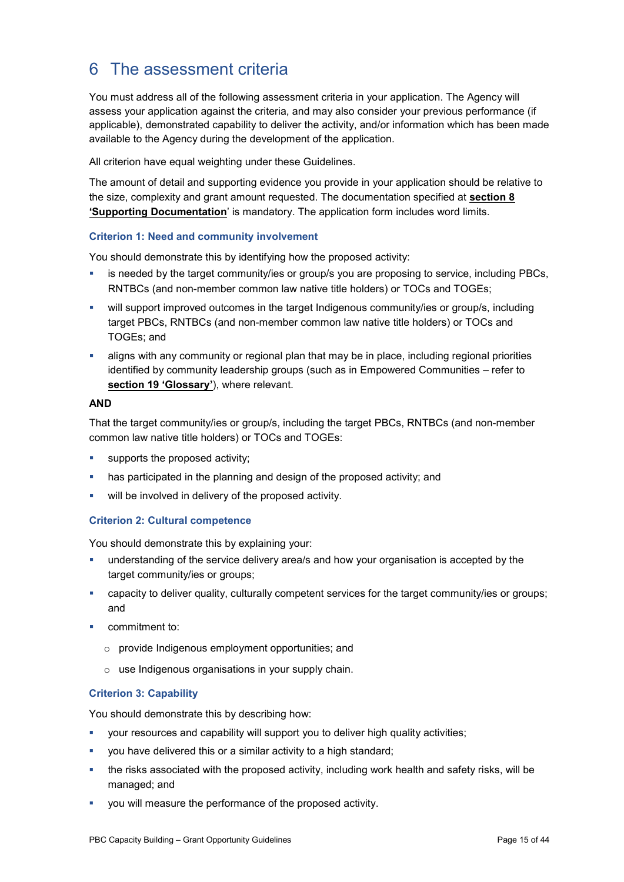# 6 The assessment criteria

You must address all of the following assessment criteria in your application. The Agency will assess your application against the criteria, and may also consider your previous performance (if applicable), demonstrated capability to deliver the activity, and/or information which has been made available to the Agency during the development of the application.

All criterion have equal weighting under these Guidelines.

The amount of detail and supporting evidence you provide in your application should be relative to the size, complexity and grant amount requested. The documentation specified at **section 8 'Supporting Documentation**' is mandatory. The application form includes word limits.

#### **Criterion 1: Need and community involvement**

You should demonstrate this by identifying how the proposed activity:

- is needed by the target community/ies or group/s you are proposing to service, including PBCs, RNTBCs (and non-member common law native title holders) or TOCs and TOGEs;
- will support improved outcomes in the target Indigenous community/ies or group/s, including target PBCs, RNTBCs (and non-member common law native title holders) or TOCs and TOGEs; and
- aligns with any community or regional plan that may be in place, including regional priorities identified by community leadership groups (such as in Empowered Communities – refer to **section [19](#page-30-0) ['Glossary'](#page-30-0)**), where relevant.

#### **AND**

That the target community/ies or group/s, including the target PBCs, RNTBCs (and non-member common law native title holders) or TOCs and TOGEs:

- supports the proposed activity;
- has participated in the planning and design of the proposed activity; and
- will be involved in delivery of the proposed activity.

#### **Criterion 2: Cultural competence**

You should demonstrate this by explaining your:

- understanding of the service delivery area/s and how your organisation is accepted by the target community/ies or groups;
- capacity to deliver quality, culturally competent services for the target community/ies or groups; and
- commitment to:
	- o provide Indigenous employment opportunities; and
	- o use Indigenous organisations in your supply chain.

#### **Criterion 3: Capability**

You should demonstrate this by describing how:

- your resources and capability will support you to deliver high quality activities;
- you have delivered this or a similar activity to a high standard;
- the risks associated with the proposed activity, including work health and safety risks, will be managed; and
- you will measure the performance of the proposed activity.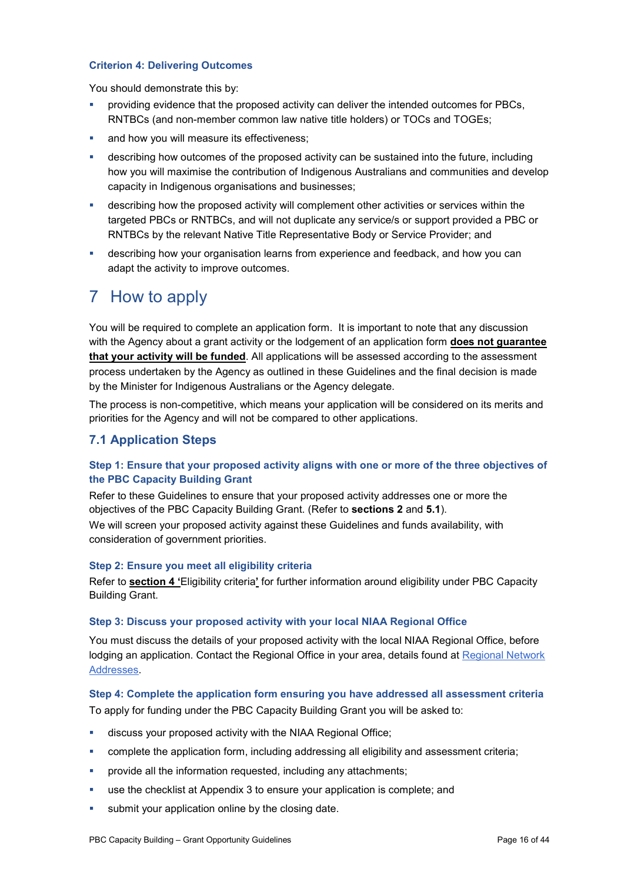#### **Criterion 4: Delivering Outcomes**

You should demonstrate this by:

- providing evidence that the proposed activity can deliver the intended outcomes for PBCs, RNTBCs (and non-member common law native title holders) or TOCs and TOGEs;
- and how you will measure its effectiveness;
- describing how outcomes of the proposed activity can be sustained into the future, including how you will maximise the contribution of Indigenous Australians and communities and develop capacity in Indigenous organisations and businesses;
- describing how the proposed activity will complement other activities or services within the targeted PBCs or RNTBCs, and will not duplicate any service/s or support provided a PBC or RNTBCs by the relevant Native Title Representative Body or Service Provider; and
- **EXEDE 10 In the Sepan is a locat is exampled to the set of the set of the set of the set of the set of the set of the set of the set of the set of candidate** describing how you can adapt the activity to improve outcomes.

# 7 How to apply

You will be required to complete an application form. It is important to note that any discussion with the Agency about a grant activity or the lodgement of an application form **does not guarantee that your activity will be funded**. All applications will be assessed according to the assessment process undertaken by the Agency as outlined in these Guidelines and the final decision is made by the Minister for Indigenous Australians or the Agency delegate.

The process is non-competitive, which means your application will be considered on its merits and priorities for the Agency and will not be compared to other applications.

#### **7.1 Application Steps**

#### **Step 1: Ensure that your proposed activity aligns with one or more of the three objectives of the PBC Capacity Building Grant**

Refer to these Guidelines to ensure that your proposed activity addresses one or more the objectives of the PBC Capacity Building Grant. (Refer to **sections 2** and **5.1**).

We will screen your proposed activity against these Guidelines and funds availability, with consideration of government priorities.

#### **Step 2: Ensure you meet all eligibility criteria**

Refer to **section 4 '**[Eligibility criteria](#page-8-2)**'** for further information around eligibility under PBC Capacity Building Grant.

#### **Step 3: Discuss your proposed activity with your local NIAA Regional Office**

You must discuss the details of your proposed activity with the local NIAA Regional Office, before lodging an application. Contact the Regional Office in your area, details found at [Regional Network](http://www.niaa.gov.au/contact-us/regional-network-addresses)  [Addresses.](http://www.niaa.gov.au/contact-us/regional-network-addresses) 

#### **Step 4: Complete the application form ensuring you have addressed all assessment criteria**

To apply for funding under the PBC Capacity Building Grant you will be asked to:

- discuss your proposed activity with the NIAA Regional Office;
- complete the application form, including addressing all eligibility and assessment criteria;
- provide all the information requested, including any attachments;
- use the checklist at Appendix 3 to ensure your application is complete; and
- submit your application online by the closing date.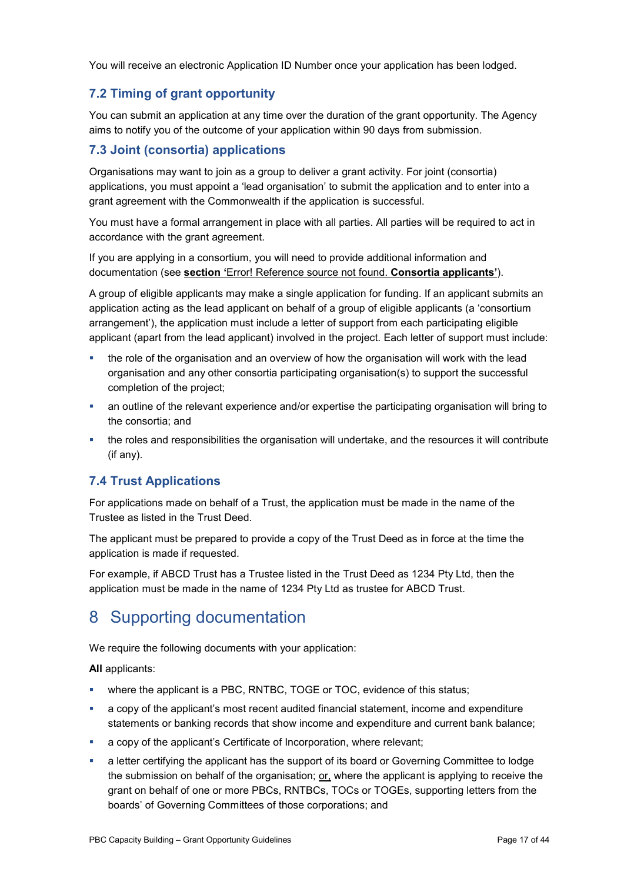You will receive an electronic Application ID Number once your application has been lodged.

### **7.2 Timing of grant opportunity**

You can submit an application at any time over the duration of the grant opportunity. The Agency aims to notify you of the outcome of your application within 90 days from submission.

### <span id="page-16-0"></span>**7.3 Joint (consortia) applications**

Organisations may want to join as a group to deliver a grant activity. For joint (consortia) applications, you must appoint a 'lead organisation' to submit the application and to enter into a grant agreement with the Commonwealth if the application is successful.

You must have a formal arrangement in place with all parties. All parties will be required to act in accordance with the grant agreement.

If you are applying in a consortium, you will need to provide additional information and documentation (see **section '**Error! Reference source not found. **Consortia applicants'**).

A group of eligible applicants may make a single application for funding. If an applicant submits an application acting as the lead applicant on behalf of a group of eligible applicants (a 'consortium arrangement'), the application must include a letter of support from each participating eligible applicant (apart from the lead applicant) involved in the project. Each letter of support must include:

- the role of the organisation and an overview of how the organisation will work with the lead organisation and any other consortia participating organisation(s) to support the successful completion of the project;
- an outline of the relevant experience and/or expertise the participating organisation will bring to the consortia; and
- the roles and responsibilities the organisation will undertake, and the resources it will contribute (if any).

### **7.4 Trust Applications**

For applications made on behalf of a Trust, the application must be made in the name of the Trustee as listed in the Trust Deed.

The applicant must be prepared to provide a copy of the Trust Deed as in force at the time the application is made if requested.

For example, if ABCD Trust has a Trustee listed in the Trust Deed as 1234 Pty Ltd, then the application must be made in the name of 1234 Pty Ltd as trustee for ABCD Trust.

# 8 Supporting documentation

We require the following documents with your application:

**All** applicants:

- where the applicant is a PBC, RNTBC, TOGE or TOC, evidence of this status;
- a copy of the applicant's most recent audited financial statement, income and expenditure statements or banking records that show income and expenditure and current bank balance;
- a copy of the applicant's Certificate of Incorporation, where relevant;
- **a** letter certifying the applicant has the support of its board or Governing Committee to lodge the submission on behalf of the organisation; or, where the applicant is applying to receive the grant on behalf of one or more PBCs, RNTBCs, TOCs or TOGEs, supporting letters from the boards' of Governing Committees of those corporations; and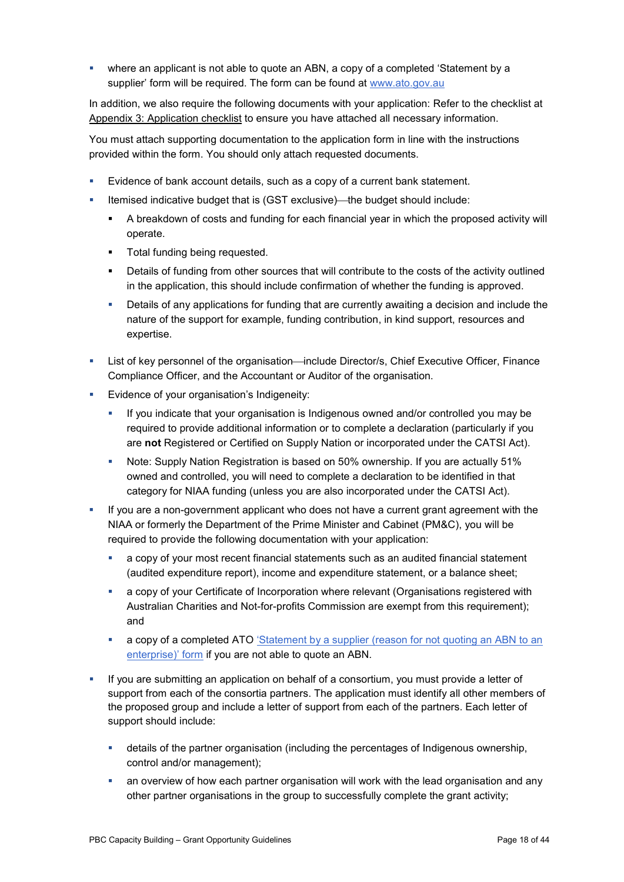where an applicant is not able to quote an ABN, a copy of a completed 'Statement by a supplier' form will be required. The form can be found at [www.ato.gov.au](http://www.ato.gov.au/)

In addition, we also require the following documents with your application: Refer to the checklist at [Appendix 3: Application checklist](#page-42-0) to ensure you have attached all necessary information.

You must attach supporting documentation to the application form in line with the instructions provided within the form. You should only attach requested documents.

- Evidence of bank account details, such as a copy of a current bank statement.
- Itemised indicative budget that is (GST exclusive)—the budget should include:
	- A breakdown of costs and funding for each financial year in which the proposed activity will operate.
	- **Total funding being requested.**
	- Details of funding from other sources that will contribute to the costs of the activity outlined in the application, this should include confirmation of whether the funding is approved.
	- **Details of any applications for funding that are currently awaiting a decision and include the** nature of the support for example, funding contribution, in kind support, resources and expertise.
- List of key personnel of the organisation—include Director/s, Chief Executive Officer, Finance Compliance Officer, and the Accountant or Auditor of the organisation.
- Evidence of your organisation's Indigeneity:
	- If you indicate that your organisation is Indigenous owned and/or controlled you may be required to provide additional information or to complete a declaration (particularly if you are **not** Registered or Certified on Supply Nation or incorporated under the CATSI Act).
	- Note: Supply Nation Registration is based on 50% ownership. If you are actually 51% owned and controlled, you will need to complete a declaration to be identified in that category for NIAA funding (unless you are also incorporated under the CATSI Act).
- If you are a non-government applicant who does not have a current grant agreement with the NIAA or formerly the Department of the Prime Minister and Cabinet (PM&C), you will be required to provide the following documentation with your application:
	- a copy of your most recent financial statements such as an audited financial statement (audited expenditure report), income and expenditure statement, or a balance sheet;
	- a copy of your Certificate of Incorporation where relevant (Organisations registered with Australian Charities and Not-for-profits Commission are exempt from this requirement); and
	- a copy of a completed ATO ['Statement by a supplier \(reason for not quoting an ABN to an](https://www.ato.gov.au/Forms/Statement-by-a-supplier-not-quoting-an-ABN/)  [enterprise\)' form](https://www.ato.gov.au/Forms/Statement-by-a-supplier-not-quoting-an-ABN/) if you are not able to quote an ABN.
- If you are submitting an application on behalf of a consortium, you must provide a letter of support from each of the consortia partners. The application must identify all other members of the proposed group and include a letter of support from each of the partners. Each letter of support should include:
	- details of the partner organisation (including the percentages of Indigenous ownership, control and/or management);
	- an overview of how each partner organisation will work with the lead organisation and any other partner organisations in the group to successfully complete the grant activity;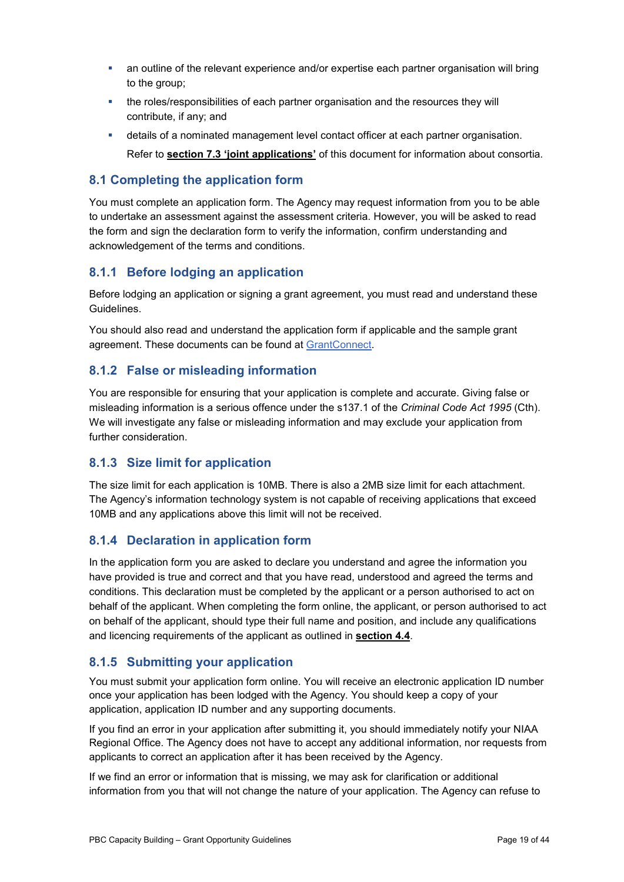- an outline of the relevant experience and/or expertise each partner organisation will bring to the group;
- the roles/responsibilities of each partner organisation and the resources they will contribute, if any; and
- details of a nominated management level contact officer at each partner organisation. Refer to **section 7.3 'joint applications'** of this document for information about consortia.

### **8.1 Completing the application form**

You must complete an application form. The Agency may request information from you to be able to undertake an assessment against the assessment criteria. However, you will be asked to read the form and sign the declaration form to verify the information, confirm understanding and acknowledgement of the terms and conditions.

### **8.1.1 Before lodging an application**

Before lodging an application or signing a grant agreement, you must read and understand these Guidelines.

You should also read and understand the application form if applicable and the sample grant agreement. These documents can be found at [GrantConnect.](https://www.grants.gov.au/)

### **8.1.2 False or misleading information**

You are responsible for ensuring that your application is complete and accurate. Giving false or misleading information is a serious offence under the s137.1 of the *Criminal Code Act 1995* (Cth). We will investigate any false or misleading information and may exclude your application from further consideration.

### **8.1.3 Size limit for application**

The size limit for each application is 10MB. There is also a 2MB size limit for each attachment. The Agency's information technology system is not capable of receiving applications that exceed 10MB and any applications above this limit will not be received.

### **8.1.4 Declaration in application form**

In the application form you are asked to declare you understand and agree the information you have provided is true and correct and that you have read, understood and agreed the terms and conditions. This declaration must be completed by the applicant or a person authorised to act on behalf of the applicant. When completing the form online, the applicant, or person authorised to act on behalf of the applicant, should type their full name and position, and include any qualifications and licencing requirements of the applicant as outlined in **section [4.4](#page-10-0)**.

### **8.1.5 Submitting your application**

You must submit your application form online. You will receive an electronic application ID number once your application has been lodged with the Agency. You should keep a copy of your application, application ID number and any supporting documents.

If you find an error in your application after submitting it, you should immediately notify your NIAA Regional Office. The Agency does not have to accept any additional information, nor requests from applicants to correct an application after it has been received by the Agency.

If we find an error or information that is missing, we may ask for clarification or additional information from you that will not change the nature of your application. The Agency can refuse to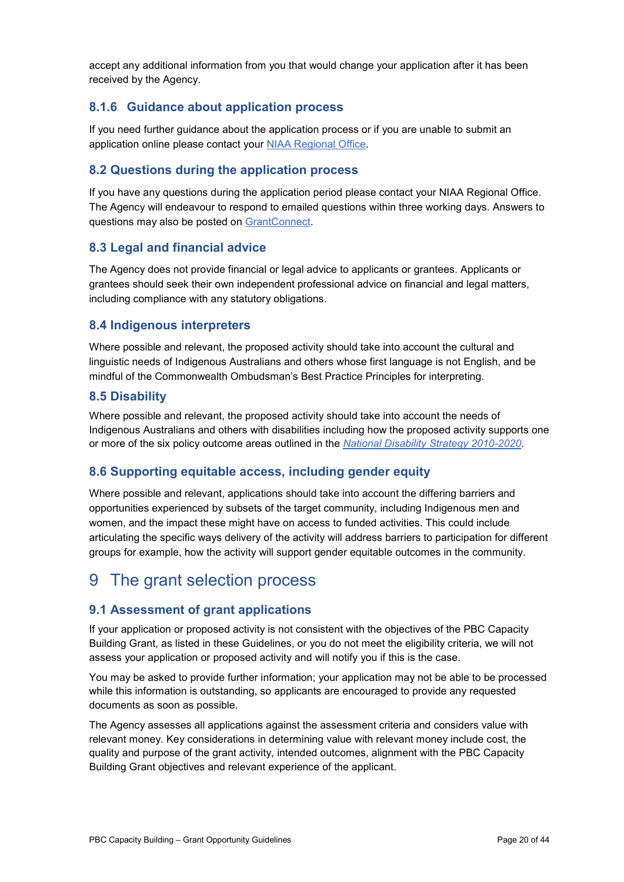accept any additional information from you that would change your application after it has been received by the Agency.

### **8.1.6 Guidance about application process**

If you need further guidance about the application process or if you are unable to submit an application online please contact your [NIAA Regional Office.](https://www.niaa.gov.au/contact-us/regional-network-addresses)

#### **8.2 Questions during the application process**

If you have any questions during the application period please contact your NIAA Regional Office. The Agency will endeavour to respond to emailed questions within three working days. Answers to questions may also be posted on [GrantConnect.](https://www.grants.gov.au/)

#### **8.3 Legal and financial advice**

The Agency does not provide financial or legal advice to applicants or grantees. Applicants or grantees should seek their own independent professional advice on financial and legal matters, including compliance with any statutory obligations.

#### **8.4 Indigenous interpreters**

Where possible and relevant, the proposed activity should take into account the cultural and linguistic needs of Indigenous Australians and others whose first language is not English, and be mindful of the Commonwealth Ombudsman's Best Practice Principles for interpreting.

#### **8.5 Disability**

Where possible and relevant, the proposed activity should take into account the needs of Indigenous Australians and others with disabilities including how the proposed activity supports one or more of the six policy outcome areas outlined in the *[National Disability Strategy 2010-2020.](https://www.dss.gov.au/our-responsibilities/disability-and-carers/publications-articles/policy-research/national-disability-strategy-2010-2020)*

### **8.6 Supporting equitable access, including gender equity**

Where possible and relevant, applications should take into account the differing barriers and opportunities experienced by subsets of the target community, including Indigenous men and women, and the impact these might have on access to funded activities. This could include articulating the specific ways delivery of the activity will address barriers to participation for different groups for example, how the activity will support gender equitable outcomes in the community.

## 9 The grant selection process

### **9.1 Assessment of grant applications**

If your application or proposed activity is not consistent with the objectives of the PBC Capacity Building Grant, as listed in these Guidelines, or you do not meet the eligibility criteria, we will not assess your application or proposed activity and will notify you if this is the case.

You may be asked to provide further information; your application may not be able to be processed while this information is outstanding, so applicants are encouraged to provide any requested documents as soon as possible.

The Agency assesses all applications against the assessment criteria and considers value with relevant money. Key considerations in determining value with relevant money include cost, the quality and purpose of the grant activity, intended outcomes, alignment with the PBC Capacity Building Grant objectives and relevant experience of the applicant.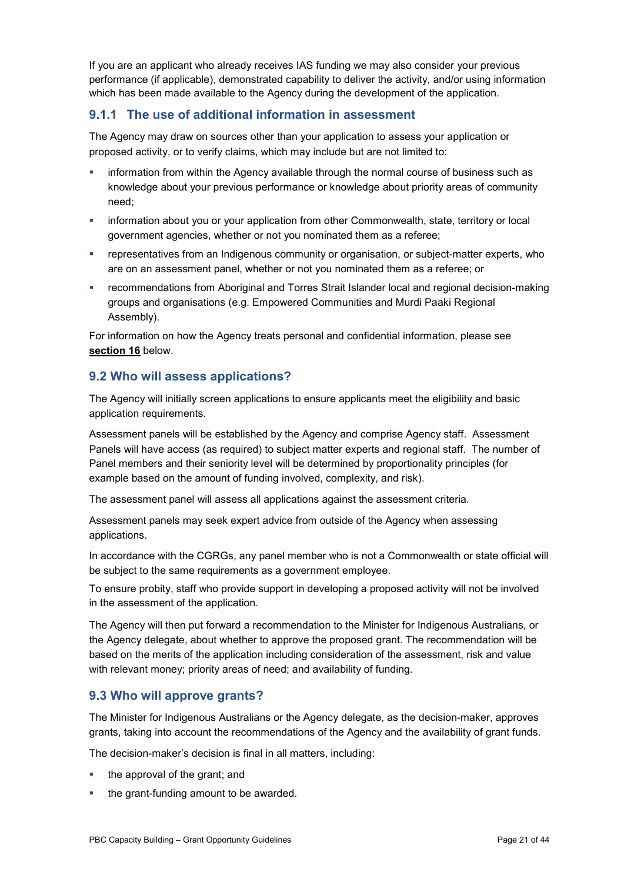If you are an applicant who already receives IAS funding we may also consider your previous performance (if applicable), demonstrated capability to deliver the activity, and/or using information which has been made available to the Agency during the development of the application.

### **9.1.1 The use of additional information in assessment**

The Agency may draw on sources other than your application to assess your application or proposed activity, or to verify claims, which may include but are not limited to:

- information from within the Agency available through the normal course of business such as knowledge about your previous performance or knowledge about priority areas of community need;
- information about you or your application from other Commonwealth, state, territory or local government agencies, whether or not you nominated them as a referee;
- representatives from an Indigenous community or organisation, or subject-matter experts, who are on an assessment panel, whether or not you nominated them as a referee; or
- recommendations from Aboriginal and Torres Strait Islander local and regional decision-making groups and organisations (e.g. Empowered Communities and Murdi Paaki Regional Assembly).

For information on how the Agency treats personal and confidential information, please see **section [16](#page-27-0)** below.

### **9.2 Who will assess applications?**

The Agency will initially screen applications to ensure applicants meet the eligibility and basic application requirements.

Assessment panels will be established by the Agency and comprise Agency staff. Assessment Panels will have access (as required) to subject matter experts and regional staff. The number of Panel members and their seniority level will be determined by proportionality principles (for example based on the amount of funding involved, complexity, and risk).

The assessment panel will assess all applications against the assessment criteria.

Assessment panels may seek expert advice from outside of the Agency when assessing applications.

In accordance with the CGRGs, any panel member who is not a Commonwealth or state official will be subject to the same requirements as a government employee.

To ensure probity, staff who provide support in developing a proposed activity will not be involved in the assessment of the application.

The Agency will then put forward a recommendation to the Minister for Indigenous Australians, or the Agency delegate, about whether to approve the proposed grant. The recommendation will be based on the merits of the application including consideration of the assessment, risk and value with relevant money; priority areas of need; and availability of funding.

#### **9.3 Who will approve grants?**

The Minister for Indigenous Australians or the Agency delegate, as the decision-maker, approves grants, taking into account the recommendations of the Agency and the availability of grant funds.

The decision-maker's decision is final in all matters, including:

- the approval of the grant; and
- the grant-funding amount to be awarded.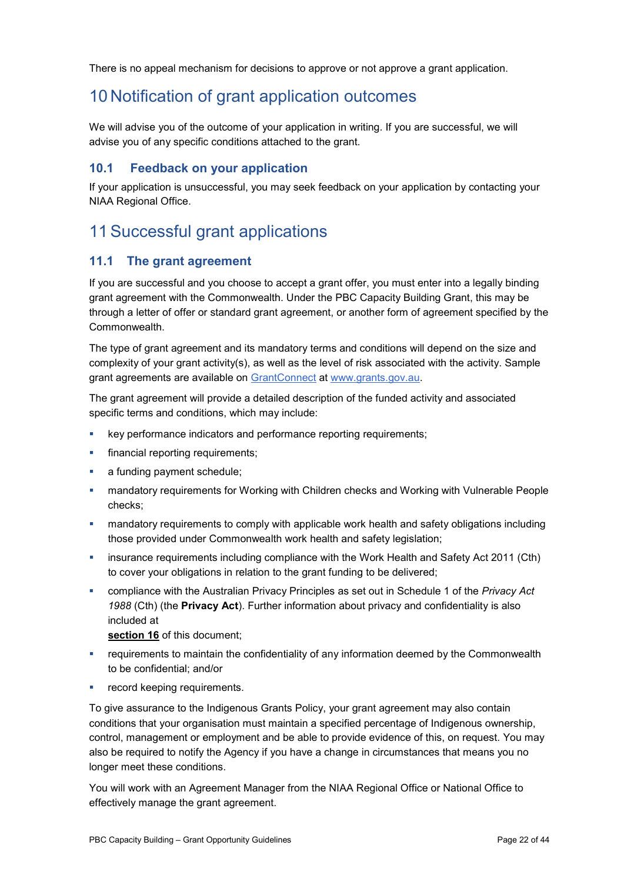There is no appeal mechanism for decisions to approve or not approve a grant application.

# 10 Notification of grant application outcomes

We will advise you of the outcome of your application in writing. If you are successful, we will advise you of any specific conditions attached to the grant.

#### **10.1 Feedback on your application**

If your application is unsuccessful, you may seek feedback on your application by contacting your NIAA Regional Office.

# 11 Successful grant applications

#### **11.1 The grant agreement**

If you are successful and you choose to accept a grant offer, you must enter into a legally binding grant agreement with the Commonwealth. Under the PBC Capacity Building Grant, this may be through a letter of offer or standard grant agreement, or another form of agreement specified by the Commonwealth.

The type of grant agreement and its mandatory terms and conditions will depend on the size and complexity of your grant activity(s), as well as the level of risk associated with the activity. Sample grant agreements are available on [GrantConnect](https://www.grants.gov.au/?event=public.GO.list) at [www.grants.gov.au.](http://www.grants.gov.au/)

The grant agreement will provide a detailed description of the funded activity and associated specific terms and conditions, which may include:

- **EXECT** key performance indicators and performance reporting requirements;
- financial reporting requirements;
- **a** funding payment schedule;
- mandatory requirements for Working with Children checks and Working with Vulnerable People checks;
- mandatory requirements to comply with applicable work health and safety obligations including those provided under Commonwealth work health and safety legislation;
- insurance requirements including compliance with the Work Health and Safety Act 2011 (Cth) to cover your obligations in relation to the grant funding to be delivered;
- compliance with the Australian Privacy Principles as set out in Schedule 1 of the *Privacy Act 1988* (Cth) (the **Privacy Act**). Further information about privacy and confidentiality is also included at

**section [16](#page-27-0)** of this document;

- requirements to maintain the confidentiality of any information deemed by the Commonwealth to be confidential; and/or
- **•** record keeping requirements.

To give assurance to the Indigenous Grants Policy, your grant agreement may also contain conditions that your organisation must maintain a specified percentage of Indigenous ownership, control, management or employment and be able to provide evidence of this, on request. You may also be required to notify the Agency if you have a change in circumstances that means you no longer meet these conditions.

You will work with an Agreement Manager from the NIAA Regional Office or National Office to effectively manage the grant agreement.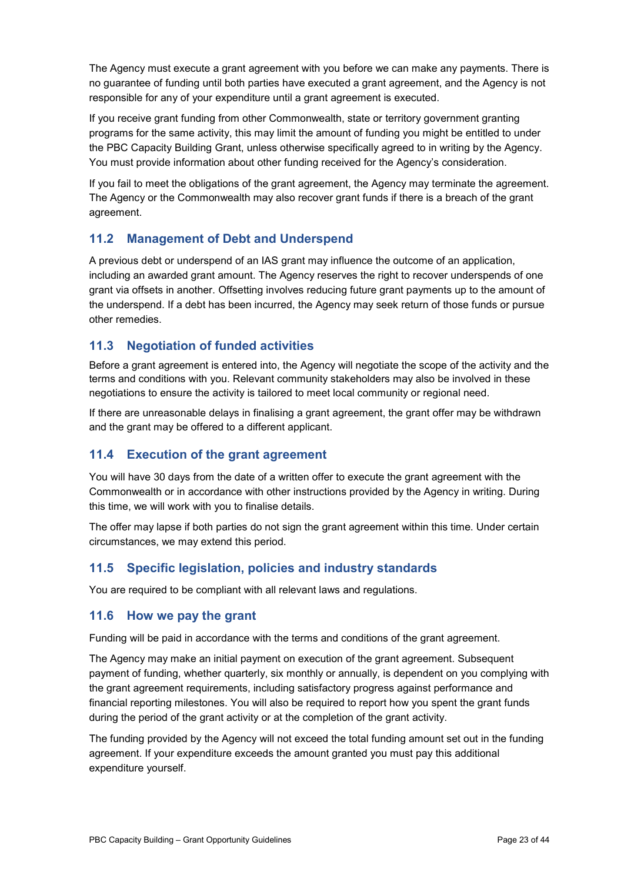The Agency must execute a grant agreement with you before we can make any payments. There is no guarantee of funding until both parties have executed a grant agreement, and the Agency is not responsible for any of your expenditure until a grant agreement is executed.

If you receive grant funding from other Commonwealth, state or territory government granting programs for the same activity, this may limit the amount of funding you might be entitled to under the PBC Capacity Building Grant, unless otherwise specifically agreed to in writing by the Agency. You must provide information about other funding received for the Agency's consideration.

If you fail to meet the obligations of the grant agreement, the Agency may terminate the agreement. The Agency or the Commonwealth may also recover grant funds if there is a breach of the grant agreement.

### **11.2 Management of Debt and Underspend**

A previous debt or underspend of an IAS grant may influence the outcome of an application, including an awarded grant amount. The Agency reserves the right to recover underspends of one grant via offsets in another. Offsetting involves reducing future grant payments up to the amount of the underspend. If a debt has been incurred, the Agency may seek return of those funds or pursue other remedies.

### **11.3 Negotiation of funded activities**

Before a grant agreement is entered into, the Agency will negotiate the scope of the activity and the terms and conditions with you. Relevant community stakeholders may also be involved in these negotiations to ensure the activity is tailored to meet local community or regional need.

If there are unreasonable delays in finalising a grant agreement, the grant offer may be withdrawn and the grant may be offered to a different applicant.

### **11.4 Execution of the grant agreement**

You will have 30 days from the date of a written offer to execute the grant agreement with the Commonwealth or in accordance with other instructions provided by the Agency in writing. During this time, we will work with you to finalise details.

The offer may lapse if both parties do not sign the grant agreement within this time. Under certain circumstances, we may extend this period.

### **11.5 Specific legislation, policies and industry standards**

You are required to be compliant with all relevant laws and regulations.

#### **11.6 How we pay the grant**

Funding will be paid in accordance with the terms and conditions of the grant agreement.

The Agency may make an initial payment on execution of the grant agreement. Subsequent payment of funding, whether quarterly, six monthly or annually, is dependent on you complying with the grant agreement requirements, including satisfactory progress against performance and financial reporting milestones. You will also be required to report how you spent the grant funds during the period of the grant activity or at the completion of the grant activity.

The funding provided by the Agency will not exceed the total funding amount set out in the funding agreement. If your expenditure exceeds the amount granted you must pay this additional expenditure yourself.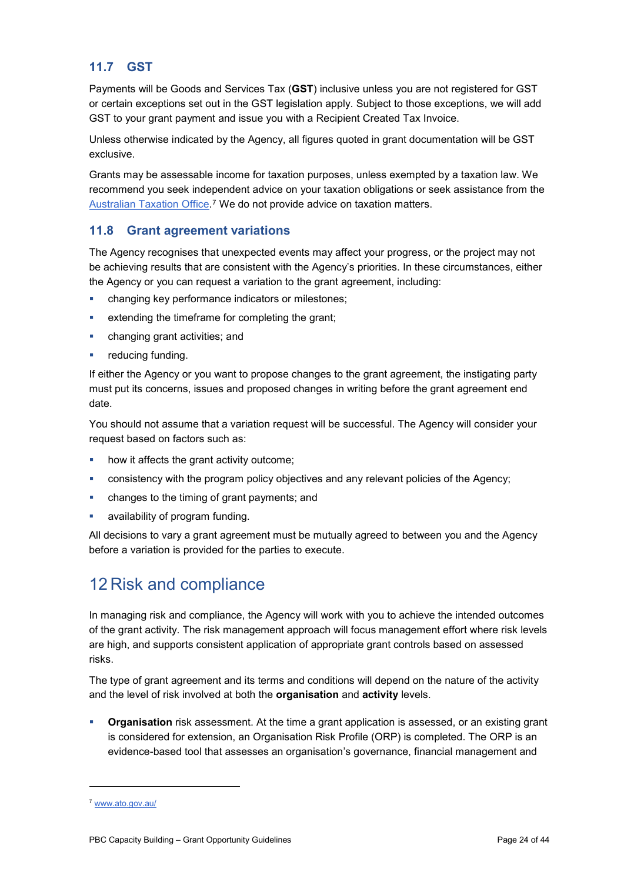### **11.7 GST**

Payments will be Goods and Services Tax (**GST**) inclusive unless you are not registered for GST or certain exceptions set out in the GST legislation apply. Subject to those exceptions, we will add GST to your grant payment and issue you with a Recipient Created Tax Invoice.

Unless otherwise indicated by the Agency, all figures quoted in grant documentation will be GST exclusive.

Grants may be assessable income for taxation purposes, unless exempted by a taxation law. We recommend you seek independent advice on your taxation obligations or seek assistance from the [Australian Taxation Office.](https://www.ato.gov.au/)[7](#page-23-1) We do not provide advice on taxation matters.

#### **11.8 Grant agreement variations**

The Agency recognises that unexpected events may affect your progress, or the project may not be achieving results that are consistent with the Agency's priorities. In these circumstances, either the Agency or you can request a variation to the grant agreement, including:

- changing key performance indicators or milestones;
- extending the timeframe for completing the grant;
- changing grant activities; and
- **•** reducing funding.

If either the Agency or you want to propose changes to the grant agreement, the instigating party must put its concerns, issues and proposed changes in writing before the grant agreement end date.

You should not assume that a variation request will be successful. The Agency will consider your request based on factors such as:

- how it affects the grant activity outcome;
- consistency with the program policy objectives and any relevant policies of the Agency;
- changes to the timing of grant payments; and
- availability of program funding.

All decisions to vary a grant agreement must be mutually agreed to between you and the Agency before a variation is provided for the parties to execute.

# <span id="page-23-0"></span>12 Risk and compliance

In managing risk and compliance, the Agency will work with you to achieve the intended outcomes of the grant activity. The risk management approach will focus management effort where risk levels are high, and supports consistent application of appropriate grant controls based on assessed risks.

The type of grant agreement and its terms and conditions will depend on the nature of the activity and the level of risk involved at both the **organisation** and **activity** levels.

 **Organisation** risk assessment. At the time a grant application is assessed, or an existing grant is considered for extension, an Organisation Risk Profile (ORP) is completed. The ORP is an evidence-based tool that assesses an organisation's governance, financial management and

-

<span id="page-23-1"></span><sup>7</sup> [www.ato.gov.au/](http://www.ato.gov.au/)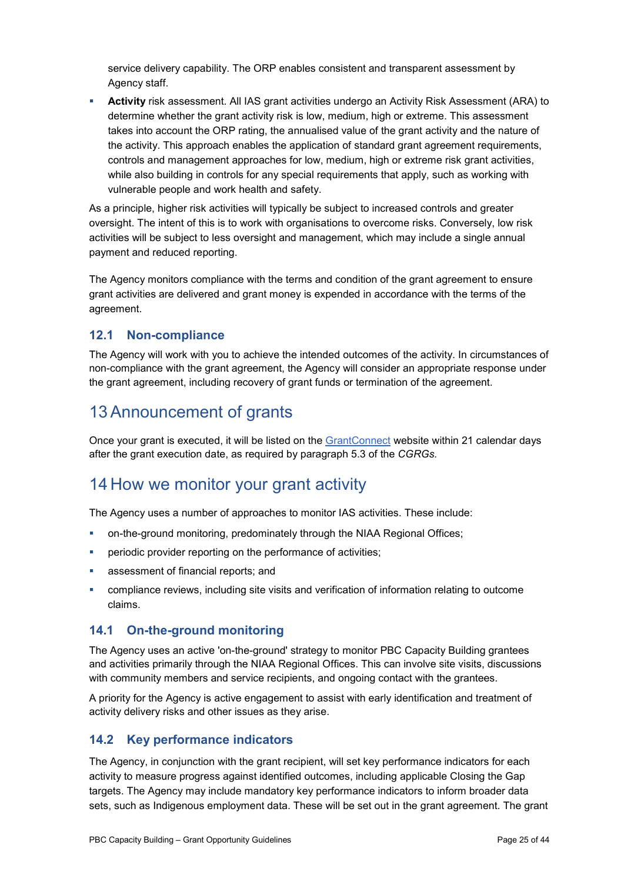service delivery capability. The ORP enables consistent and transparent assessment by Agency staff.

**Activity** risk assessment. All IAS grant activities undergo an Activity Risk Assessment (ARA) to determine whether the grant activity risk is low, medium, high or extreme. This assessment takes into account the ORP rating, the annualised value of the grant activity and the nature of the activity. This approach enables the application of standard grant agreement requirements, controls and management approaches for low, medium, high or extreme risk grant activities, while also building in controls for any special requirements that apply, such as working with vulnerable people and work health and safety.

As a principle, higher risk activities will typically be subject to increased controls and greater oversight. The intent of this is to work with organisations to overcome risks. Conversely, low risk activities will be subject to less oversight and management, which may include a single annual payment and reduced reporting.

The Agency monitors compliance with the terms and condition of the grant agreement to ensure grant activities are delivered and grant money is expended in accordance with the terms of the agreement.

#### **12.1 Non-compliance**

The Agency will work with you to achieve the intended outcomes of the activity. In circumstances of non-compliance with the grant agreement, the Agency will consider an appropriate response under the grant agreement, including recovery of grant funds or termination of the agreement.

# 13Announcement of grants

Once your grant is executed, it will be listed on the [GrantConnect](https://www.grants.gov.au/) website within 21 calendar days after the grant execution date, as required by paragraph 5.3 of the *CGRGs.* 

## 14 How we monitor your grant activity

The Agency uses a number of approaches to monitor IAS activities. These include:

- on-the-ground monitoring, predominately through the NIAA Regional Offices;
- **•** periodic provider reporting on the performance of activities;
- assessment of financial reports; and
- compliance reviews, including site visits and verification of information relating to outcome claims.

#### **14.1 On-the-ground monitoring**

The Agency uses an active 'on-the-ground' strategy to monitor PBC Capacity Building grantees and activities primarily through the NIAA Regional Offices. This can involve site visits, discussions with community members and service recipients, and ongoing contact with the grantees.

A priority for the Agency is active engagement to assist with early identification and treatment of activity delivery risks and other issues as they arise.

### **14.2 Key performance indicators**

The Agency, in conjunction with the grant recipient, will set key performance indicators for each activity to measure progress against identified outcomes, including applicable Closing the Gap targets. The Agency may include mandatory key performance indicators to inform broader data sets, such as Indigenous employment data. These will be set out in the grant agreement. The grant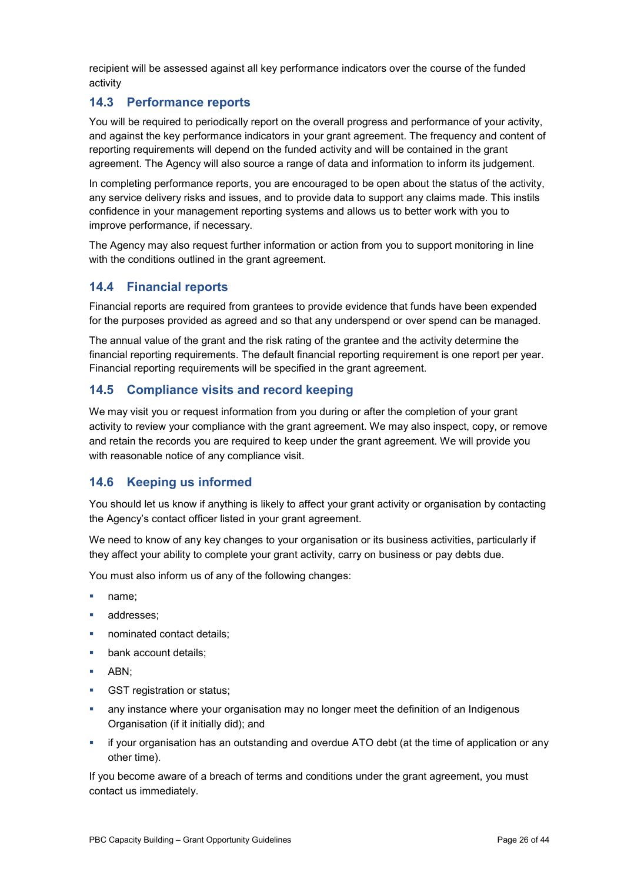recipient will be assessed against all key performance indicators over the course of the funded activity

### **14.3 Performance reports**

You will be required to periodically report on the overall progress and performance of your activity, and against the key performance indicators in your grant agreement. The frequency and content of reporting requirements will depend on the funded activity and will be contained in the grant agreement. The Agency will also source a range of data and information to inform its judgement.

In completing performance reports, you are encouraged to be open about the status of the activity, any service delivery risks and issues, and to provide data to support any claims made. This instils confidence in your management reporting systems and allows us to better work with you to improve performance, if necessary.

The Agency may also request further information or action from you to support monitoring in line with the conditions outlined in the grant agreement.

### **14.4 Financial reports**

Financial reports are required from grantees to provide evidence that funds have been expended for the purposes provided as agreed and so that any underspend or over spend can be managed.

The annual value of the grant and the risk rating of the grantee and the activity determine the financial reporting requirements. The default financial reporting requirement is one report per year. Financial reporting requirements will be specified in the grant agreement.

### **14.5 Compliance visits and record keeping**

We may visit you or request information from you during or after the completion of your grant activity to review your compliance with the grant agreement. We may also inspect, copy, or remove and retain the records you are required to keep under the grant agreement. We will provide you with reasonable notice of any compliance visit.

### **14.6 Keeping us informed**

You should let us know if anything is likely to affect your grant activity or organisation by contacting the Agency's contact officer listed in your grant agreement.

We need to know of any key changes to your organisation or its business activities, particularly if they affect your ability to complete your grant activity, carry on business or pay debts due.

You must also inform us of any of the following changes:

- name:
- addresses;
- nominated contact details;
- bank account details;
- **ABN:**
- **GST** registration or status;
- **EXECT** any instance where your organisation may no longer meet the definition of an Indigenous Organisation (if it initially did); and
- **if your organisation has an outstanding and overdue ATO debt (at the time of application or any** other time).

If you become aware of a breach of terms and conditions under the grant agreement, you must contact us immediately.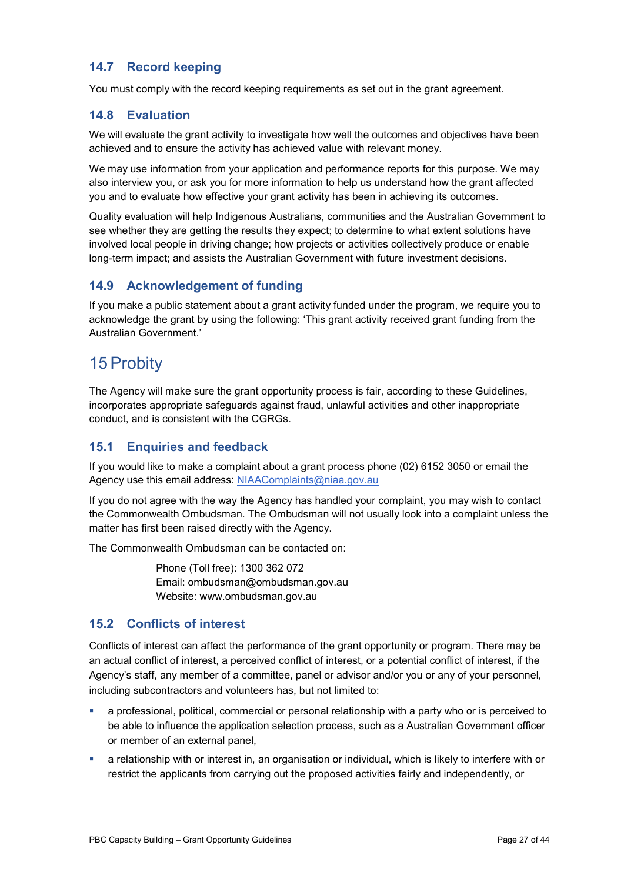### **14.7 Record keeping**

You must comply with the record keeping requirements as set out in the grant agreement.

#### **14.8 Evaluation**

We will evaluate the grant activity to investigate how well the outcomes and objectives have been achieved and to ensure the activity has achieved value with relevant money.

We may use information from your application and performance reports for this purpose. We may also interview you, or ask you for more information to help us understand how the grant affected you and to evaluate how effective your grant activity has been in achieving its outcomes.

Quality evaluation will help Indigenous Australians, communities and the Australian Government to see whether they are getting the results they expect; to determine to what extent solutions have involved local people in driving change; how projects or activities collectively produce or enable long-term impact; and assists the Australian Government with future investment decisions.

#### **14.9 Acknowledgement of funding**

If you make a public statement about a grant activity funded under the program, we require you to acknowledge the grant by using the following: 'This grant activity received grant funding from the Australian Government.'

# 15Probity

The Agency will make sure the grant opportunity process is fair, according to these Guidelines, incorporates appropriate safeguards against fraud, unlawful activities and other inappropriate conduct, and is consistent with the CGRGs.

#### **15.1 Enquiries and feedback**

If you would like to make a complaint about a grant process phone (02) 6152 3050 or email the Agency use this email address: [NIAAComplaints@niaa.gov.au](mailto:NIAAComplaints@niaa.gov.au)

If you do not agree with the way the Agency has handled your complaint, you may wish to contact the Commonwealth Ombudsman. The Ombudsman will not usually look into a complaint unless the matter has first been raised directly with the Agency.

The Commonwealth Ombudsman can be contacted on:

Phone (Toll free): 1300 362 072 Email: [ombudsman@ombudsman.gov.au](mailto:ombudsman@ombudsman.gov.au) Website: [www.ombudsman.gov.au](http://www.ombudsman.gov.au/)

#### **15.2 Conflicts of interest**

Conflicts of interest can affect the performance of the grant opportunity or program. There may be an actual [conflict of interest,](http://www.apsc.gov.au/publications-and-media/current-publications/aps-values-and-code-of-conduct-in-practice/conflict-of-interest) a perceived conflict of interest, or a potential conflict of interest, if the Agency's staff, any member of a committee, panel or advisor and/or you or any of your personnel, including subcontractors and volunteers has, but not limited to:

- a professional, political, commercial or personal relationship with a party who or is perceived to be able to influence the application selection process, such as a Australian Government officer or member of an external panel,
- a relationship with or interest in, an organisation or individual, which is likely to interfere with or restrict the applicants from carrying out the proposed activities fairly and independently, or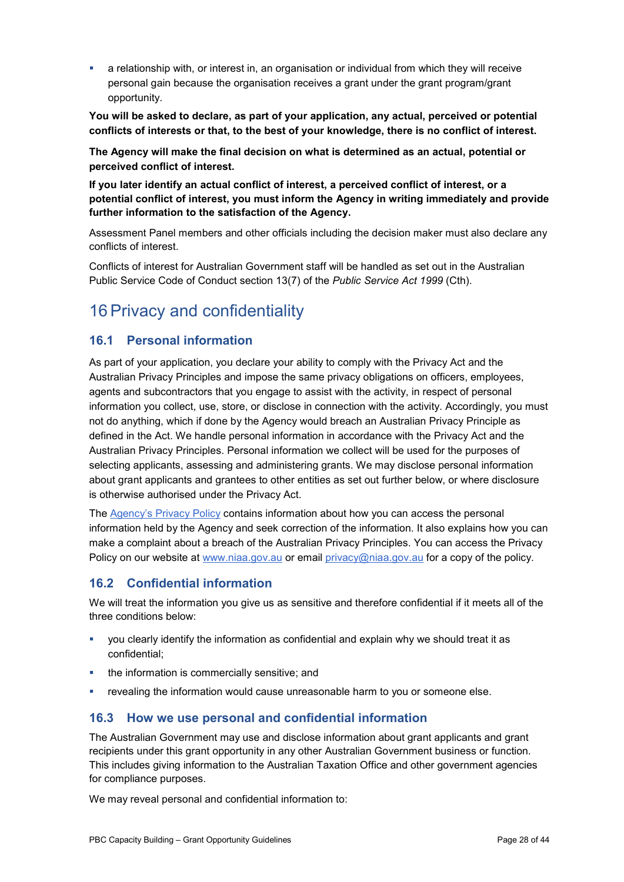a relationship with, or interest in, an organisation or individual from which they will receive personal gain because the organisation receives a grant under the grant program/grant opportunity.

**You will be asked to declare, as part of your application, any actual, perceived or potential conflicts of interests or that, to the best of your knowledge, there is no conflict of interest.**

**The Agency will make the final decision on what is determined as an actual, potential or perceived conflict of interest.**

**If you later identify an actual [conflict of interest,](http://www.apsc.gov.au/publications-and-media/current-publications/aps-values-and-code-of-conduct-in-practice/conflict-of-interest) a perceived conflict of interest, or a potential conflict of interest, you must inform the Agency in writing immediately and provide further information to the satisfaction of the Agency.** 

Assessment Panel members and other officials including the decision maker must also declare any conflicts of interest.

Conflicts of interest for Australian Government staff will be handled as set out in the Australian Public Service Code of Conduct section 13(7) of the *Public Service Act 1999* (Cth).

# <span id="page-27-0"></span>16 Privacy and confidentiality

### **16.1 Personal information**

As part of your application, you declare your ability to comply with the Privacy Act and the Australian Privacy Principles and impose the same privacy obligations on officers, employees, agents and subcontractors that you engage to assist with the activity, in respect of personal information you collect, use, store, or disclose in connection with the activity. Accordingly, you must not do anything, which if done by the Agency would breach an Australian Privacy Principle as defined in the Act. We handle personal information in accordance with the Privacy Act and the Australian Privacy Principles. Personal information we collect will be used for the purposes of selecting applicants, assessing and administering grants. We may disclose personal information about grant applicants and grantees to other entities as set out further below, or where disclosure is otherwise authorised under the Privacy Act.

The [Agency's Privacy Policy](https://www.niaa.gov.au/pmc/who-we-are/accountability-and-reporting/privacy-policy) contains information about how you can access the personal information held by the Agency and seek correction of the information. It also explains how you can make a complaint about a breach of the Australian Privacy Principles. You can access the Privacy Policy on our website at [www.niaa.gov.au](http://www.niaa.gov.au/) or email [privacy@niaa.gov.au](mailto:privacy@niaa.gov.au) for a copy of the policy.

### **16.2 Confidential information**

We will treat the information you give us as sensitive and therefore confidential if it meets all of the three conditions below:

- you clearly identify the information as confidential and explain why we should treat it as confidential;
- the information is commercially sensitive; and
- revealing the information would cause unreasonable harm to you or someone else.

#### **16.3 How we use personal and confidential information**

The Australian Government may use and disclose information about grant applicants and grant recipients under this grant opportunity in any other Australian Government business or function. This includes giving information to the Australian Taxation Office and other government agencies for compliance purposes.

We may reveal personal and confidential information to: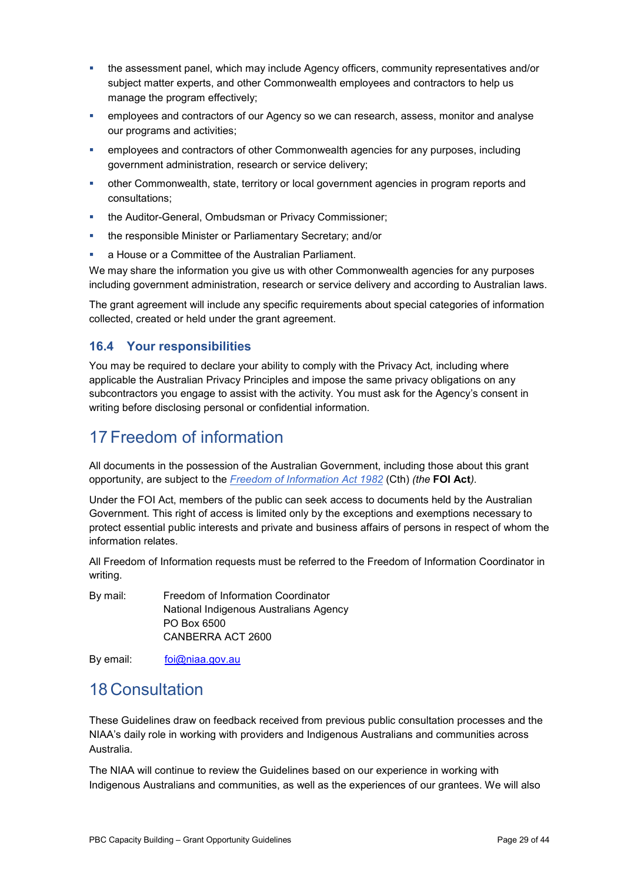- the assessment panel, which may include Agency officers, community representatives and/or subject matter experts, and other Commonwealth employees and contractors to help us manage the program effectively;
- **EXED** employees and contractors of our Agency so we can research, assess, monitor and analyse our programs and activities;
- employees and contractors of other Commonwealth agencies for any purposes, including government administration, research or service delivery;
- other Commonwealth, state, territory or local government agencies in program reports and consultations;
- **the Auditor-General, Ombudsman or Privacy Commissioner;**
- the responsible Minister or Parliamentary Secretary; and/or
- a House or a Committee of the Australian Parliament.

We may share the information you give us with other Commonwealth agencies for any purposes including government administration, research or service delivery and according to Australian laws.

The grant agreement will include any specific requirements about special categories of information collected, created or held under the grant agreement.

#### **16.4 Your responsibilities**

You may be required to declare your ability to comply with the Privacy Act*,* including where applicable the Australian Privacy Principles and impose the same privacy obligations on any subcontractors you engage to assist with the activity. You must ask for the Agency's consent in writing before disclosing personal or confidential information.

# 17 Freedom of information

All documents in the possession of the Australian Government, including those about this grant opportunity, are subject to the *[Freedom of Information Act 1982](https://www.legislation.gov.au/Series/C2004A02562)* (Cth) *(the* **FOI Act***).*

Under the FOI Act, members of the public can seek access to documents held by the Australian Government. This right of access is limited only by the exceptions and exemptions necessary to protect essential public interests and private and business affairs of persons in respect of whom the information relates.

All Freedom of Information requests must be referred to the Freedom of Information Coordinator in writing.

| By mail: | Freedom of Information Coordinator     |
|----------|----------------------------------------|
|          | National Indigenous Australians Agency |
|          | PO Box 6500                            |
|          | CANBERRA ACT 2600                      |
|          |                                        |

By email: foi@niaa.gov.au

## 18 Consultation

These Guidelines draw on feedback received from previous public consultation processes and the NIAA's daily role in working with providers and Indigenous Australians and communities across Australia.

The NIAA will continue to review the Guidelines based on our experience in working with Indigenous Australians and communities, as well as the experiences of our grantees. We will also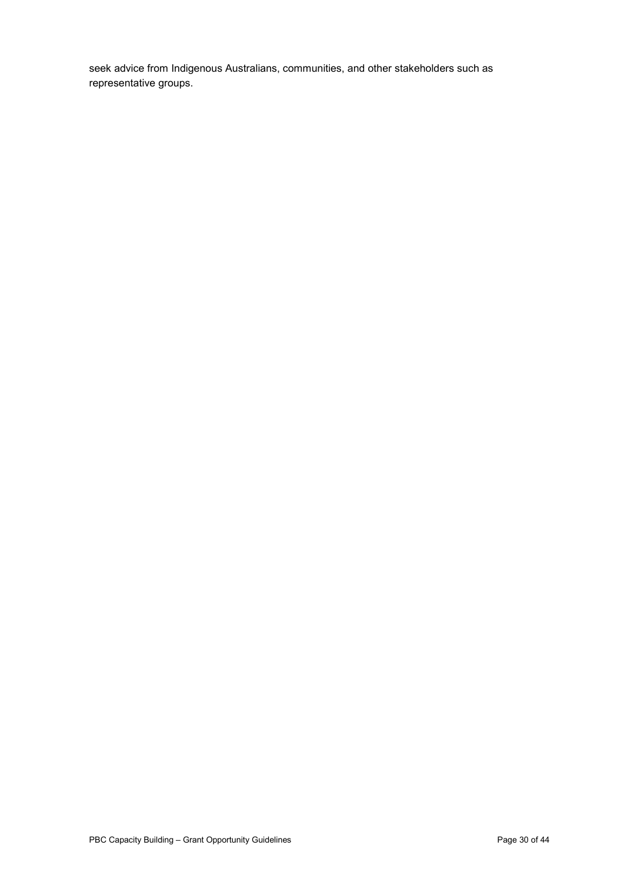seek advice from Indigenous Australians, communities, and other stakeholders such as representative groups.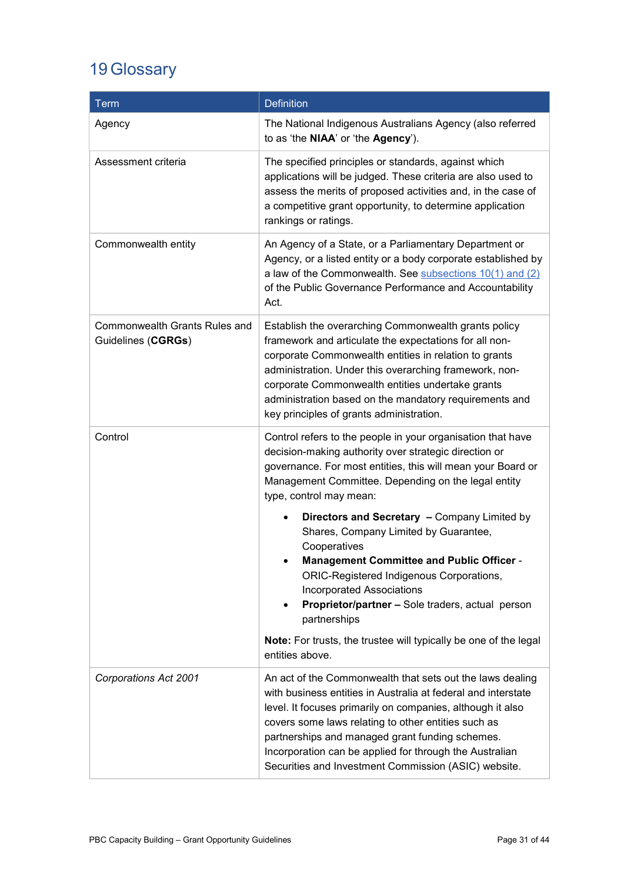# <span id="page-30-0"></span>19 Glossary

| <b>Term</b>                                         | <b>Definition</b>                                                                                                                                                                                                                                                                                                                                                                                                     |
|-----------------------------------------------------|-----------------------------------------------------------------------------------------------------------------------------------------------------------------------------------------------------------------------------------------------------------------------------------------------------------------------------------------------------------------------------------------------------------------------|
| Agency                                              | The National Indigenous Australians Agency (also referred<br>to as 'the NIAA' or 'the Agency').                                                                                                                                                                                                                                                                                                                       |
| Assessment criteria                                 | The specified principles or standards, against which<br>applications will be judged. These criteria are also used to<br>assess the merits of proposed activities and, in the case of<br>a competitive grant opportunity, to determine application<br>rankings or ratings.                                                                                                                                             |
| Commonwealth entity                                 | An Agency of a State, or a Parliamentary Department or<br>Agency, or a listed entity or a body corporate established by<br>a law of the Commonwealth. See subsections 10(1) and (2)<br>of the Public Governance Performance and Accountability<br>Act.                                                                                                                                                                |
| Commonwealth Grants Rules and<br>Guidelines (CGRGs) | Establish the overarching Commonwealth grants policy<br>framework and articulate the expectations for all non-<br>corporate Commonwealth entities in relation to grants<br>administration. Under this overarching framework, non-<br>corporate Commonwealth entities undertake grants<br>administration based on the mandatory requirements and<br>key principles of grants administration.                           |
| Control                                             | Control refers to the people in your organisation that have<br>decision-making authority over strategic direction or<br>governance. For most entities, this will mean your Board or<br>Management Committee. Depending on the legal entity<br>type, control may mean:                                                                                                                                                 |
|                                                     | Directors and Secretary - Company Limited by<br>Shares, Company Limited by Guarantee,<br>Cooperatives<br>Management Committee and Public Officer -<br>ORIC-Registered Indigenous Corporations,<br><b>Incorporated Associations</b><br>Proprietor/partner - Sole traders, actual person<br>partnerships                                                                                                                |
|                                                     | Note: For trusts, the trustee will typically be one of the legal<br>entities above.                                                                                                                                                                                                                                                                                                                                   |
| Corporations Act 2001                               | An act of the Commonwealth that sets out the laws dealing<br>with business entities in Australia at federal and interstate<br>level. It focuses primarily on companies, although it also<br>covers some laws relating to other entities such as<br>partnerships and managed grant funding schemes.<br>Incorporation can be applied for through the Australian<br>Securities and Investment Commission (ASIC) website. |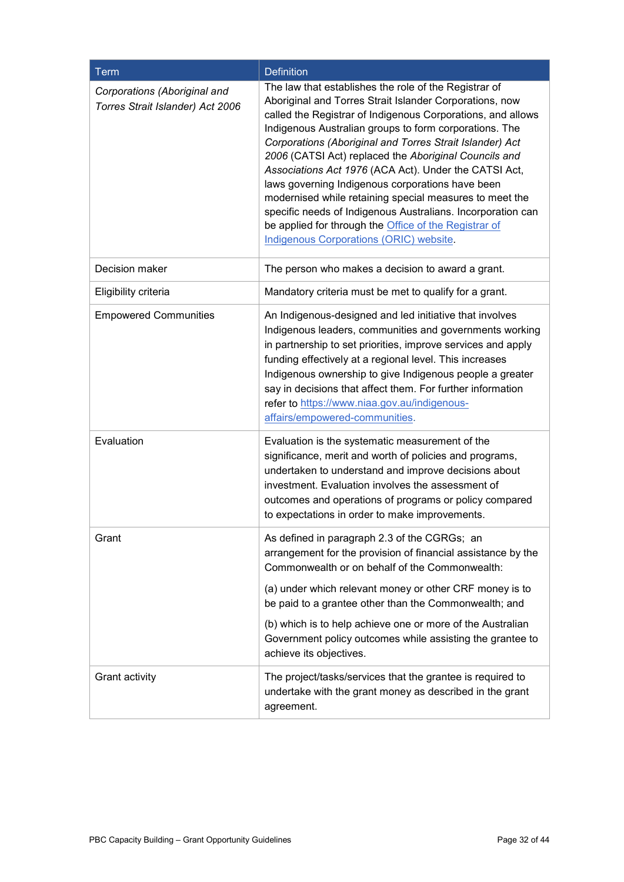| Term                                                             | <b>Definition</b>                                                                                                                                                                                                                                                                                                                                                                                                                                                                                                                                                                                                                                                                                                       |
|------------------------------------------------------------------|-------------------------------------------------------------------------------------------------------------------------------------------------------------------------------------------------------------------------------------------------------------------------------------------------------------------------------------------------------------------------------------------------------------------------------------------------------------------------------------------------------------------------------------------------------------------------------------------------------------------------------------------------------------------------------------------------------------------------|
| Corporations (Aboriginal and<br>Torres Strait Islander) Act 2006 | The law that establishes the role of the Registrar of<br>Aboriginal and Torres Strait Islander Corporations, now<br>called the Registrar of Indigenous Corporations, and allows<br>Indigenous Australian groups to form corporations. The<br>Corporations (Aboriginal and Torres Strait Islander) Act<br>2006 (CATSI Act) replaced the Aboriginal Councils and<br>Associations Act 1976 (ACA Act). Under the CATSI Act,<br>laws governing Indigenous corporations have been<br>modernised while retaining special measures to meet the<br>specific needs of Indigenous Australians. Incorporation can<br>be applied for through the <b>Office of the Registrar of</b><br><b>Indigenous Corporations (ORIC) website.</b> |
| Decision maker                                                   | The person who makes a decision to award a grant.                                                                                                                                                                                                                                                                                                                                                                                                                                                                                                                                                                                                                                                                       |
| Eligibility criteria                                             | Mandatory criteria must be met to qualify for a grant.                                                                                                                                                                                                                                                                                                                                                                                                                                                                                                                                                                                                                                                                  |
| <b>Empowered Communities</b>                                     | An Indigenous-designed and led initiative that involves<br>Indigenous leaders, communities and governments working<br>in partnership to set priorities, improve services and apply<br>funding effectively at a regional level. This increases<br>Indigenous ownership to give Indigenous people a greater<br>say in decisions that affect them. For further information<br>refer to https://www.niaa.gov.au/indigenous-<br>affairs/empowered-communities.                                                                                                                                                                                                                                                               |
| Evaluation                                                       | Evaluation is the systematic measurement of the<br>significance, merit and worth of policies and programs,<br>undertaken to understand and improve decisions about<br>investment. Evaluation involves the assessment of<br>outcomes and operations of programs or policy compared<br>to expectations in order to make improvements.                                                                                                                                                                                                                                                                                                                                                                                     |
| Grant                                                            | As defined in paragraph 2.3 of the CGRGs; an<br>arrangement for the provision of financial assistance by the<br>Commonwealth or on behalf of the Commonwealth:                                                                                                                                                                                                                                                                                                                                                                                                                                                                                                                                                          |
|                                                                  | (a) under which relevant money or other CRF money is to<br>be paid to a grantee other than the Commonwealth; and                                                                                                                                                                                                                                                                                                                                                                                                                                                                                                                                                                                                        |
|                                                                  | (b) which is to help achieve one or more of the Australian<br>Government policy outcomes while assisting the grantee to<br>achieve its objectives.                                                                                                                                                                                                                                                                                                                                                                                                                                                                                                                                                                      |
| <b>Grant activity</b>                                            | The project/tasks/services that the grantee is required to<br>undertake with the grant money as described in the grant<br>agreement.                                                                                                                                                                                                                                                                                                                                                                                                                                                                                                                                                                                    |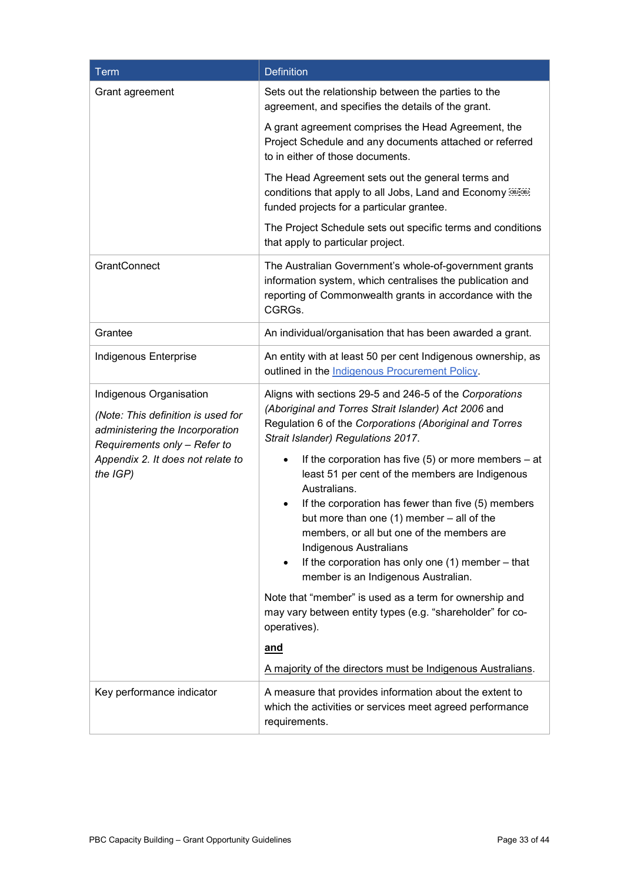| <b>Term</b>                                                                                                                                                                       | <b>Definition</b>                                                                                                                                                                                                                                                                                                                                                                                                                                                                                    |
|-----------------------------------------------------------------------------------------------------------------------------------------------------------------------------------|------------------------------------------------------------------------------------------------------------------------------------------------------------------------------------------------------------------------------------------------------------------------------------------------------------------------------------------------------------------------------------------------------------------------------------------------------------------------------------------------------|
| Grant agreement                                                                                                                                                                   | Sets out the relationship between the parties to the<br>agreement, and specifies the details of the grant.                                                                                                                                                                                                                                                                                                                                                                                           |
|                                                                                                                                                                                   | A grant agreement comprises the Head Agreement, the<br>Project Schedule and any documents attached or referred<br>to in either of those documents.                                                                                                                                                                                                                                                                                                                                                   |
|                                                                                                                                                                                   | The Head Agreement sets out the general terms and<br>conditions that apply to all Jobs, Land and Economy [68][68]<br>funded projects for a particular grantee.                                                                                                                                                                                                                                                                                                                                       |
|                                                                                                                                                                                   | The Project Schedule sets out specific terms and conditions<br>that apply to particular project.                                                                                                                                                                                                                                                                                                                                                                                                     |
| <b>GrantConnect</b>                                                                                                                                                               | The Australian Government's whole-of-government grants<br>information system, which centralises the publication and<br>reporting of Commonwealth grants in accordance with the<br>CGRGs.                                                                                                                                                                                                                                                                                                             |
| Grantee                                                                                                                                                                           | An individual/organisation that has been awarded a grant.                                                                                                                                                                                                                                                                                                                                                                                                                                            |
| Indigenous Enterprise                                                                                                                                                             | An entity with at least 50 per cent Indigenous ownership, as<br>outlined in the Indigenous Procurement Policy.                                                                                                                                                                                                                                                                                                                                                                                       |
| Indigenous Organisation<br>(Note: This definition is used for<br>administering the Incorporation<br>Requirements only - Refer to<br>Appendix 2. It does not relate to<br>the IGP) | Aligns with sections 29-5 and 246-5 of the Corporations<br>(Aboriginal and Torres Strait Islander) Act 2006 and<br>Regulation 6 of the Corporations (Aboriginal and Torres<br>Strait Islander) Regulations 2017.<br>If the corporation has five $(5)$ or more members $-$ at<br>least 51 per cent of the members are Indigenous<br>Australians.<br>If the corporation has fewer than five (5) members<br>but more than one $(1)$ member $-$ all of the<br>members, or all but one of the members are |
|                                                                                                                                                                                   | Indigenous Australians<br>If the corporation has only one $(1)$ member - that<br>member is an Indigenous Australian.                                                                                                                                                                                                                                                                                                                                                                                 |
|                                                                                                                                                                                   | Note that "member" is used as a term for ownership and<br>may vary between entity types (e.g. "shareholder" for co-<br>operatives).                                                                                                                                                                                                                                                                                                                                                                  |
|                                                                                                                                                                                   | and                                                                                                                                                                                                                                                                                                                                                                                                                                                                                                  |
|                                                                                                                                                                                   | A majority of the directors must be Indigenous Australians.                                                                                                                                                                                                                                                                                                                                                                                                                                          |
| Key performance indicator                                                                                                                                                         | A measure that provides information about the extent to<br>which the activities or services meet agreed performance<br>requirements.                                                                                                                                                                                                                                                                                                                                                                 |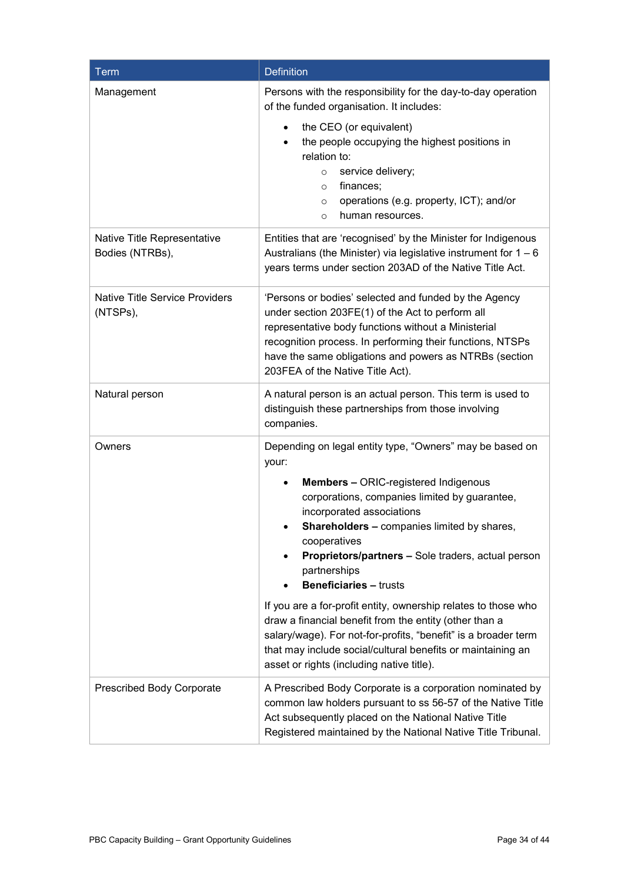| Term                                              | <b>Definition</b>                                                                                                                                                                                                                                                                                                                                                                                                                                                                                                                                                                                                                                     |
|---------------------------------------------------|-------------------------------------------------------------------------------------------------------------------------------------------------------------------------------------------------------------------------------------------------------------------------------------------------------------------------------------------------------------------------------------------------------------------------------------------------------------------------------------------------------------------------------------------------------------------------------------------------------------------------------------------------------|
| Management                                        | Persons with the responsibility for the day-to-day operation<br>of the funded organisation. It includes:                                                                                                                                                                                                                                                                                                                                                                                                                                                                                                                                              |
|                                                   | the CEO (or equivalent)<br>$\bullet$<br>the people occupying the highest positions in<br>٠<br>relation to:<br>service delivery;<br>$\circ$<br>finances;<br>$\circ$<br>operations (e.g. property, ICT); and/or<br>$\circ$<br>human resources.<br>$\circ$                                                                                                                                                                                                                                                                                                                                                                                               |
| Native Title Representative<br>Bodies (NTRBs),    | Entities that are 'recognised' by the Minister for Indigenous<br>Australians (the Minister) via legislative instrument for $1 - 6$<br>years terms under section 203AD of the Native Title Act.                                                                                                                                                                                                                                                                                                                                                                                                                                                        |
| <b>Native Title Service Providers</b><br>(NTSPs), | 'Persons or bodies' selected and funded by the Agency<br>under section 203FE(1) of the Act to perform all<br>representative body functions without a Ministerial<br>recognition process. In performing their functions, NTSPs<br>have the same obligations and powers as NTRBs (section<br>203FEA of the Native Title Act).                                                                                                                                                                                                                                                                                                                           |
| Natural person                                    | A natural person is an actual person. This term is used to<br>distinguish these partnerships from those involving<br>companies.                                                                                                                                                                                                                                                                                                                                                                                                                                                                                                                       |
| Owners                                            | Depending on legal entity type, "Owners" may be based on<br>your:<br><b>Members - ORIC-registered Indigenous</b><br>$\bullet$<br>corporations, companies limited by guarantee,<br>incorporated associations<br><b>Shareholders - companies limited by shares,</b><br>cooperatives<br>Proprietors/partners - Sole traders, actual person<br>partnerships<br><b>Beneficiaries - trusts</b><br>If you are a for-profit entity, ownership relates to those who<br>draw a financial benefit from the entity (other than a<br>salary/wage). For not-for-profits, "benefit" is a broader term<br>that may include social/cultural benefits or maintaining an |
|                                                   | asset or rights (including native title).                                                                                                                                                                                                                                                                                                                                                                                                                                                                                                                                                                                                             |
| Prescribed Body Corporate                         | A Prescribed Body Corporate is a corporation nominated by<br>common law holders pursuant to ss 56-57 of the Native Title<br>Act subsequently placed on the National Native Title<br>Registered maintained by the National Native Title Tribunal.                                                                                                                                                                                                                                                                                                                                                                                                      |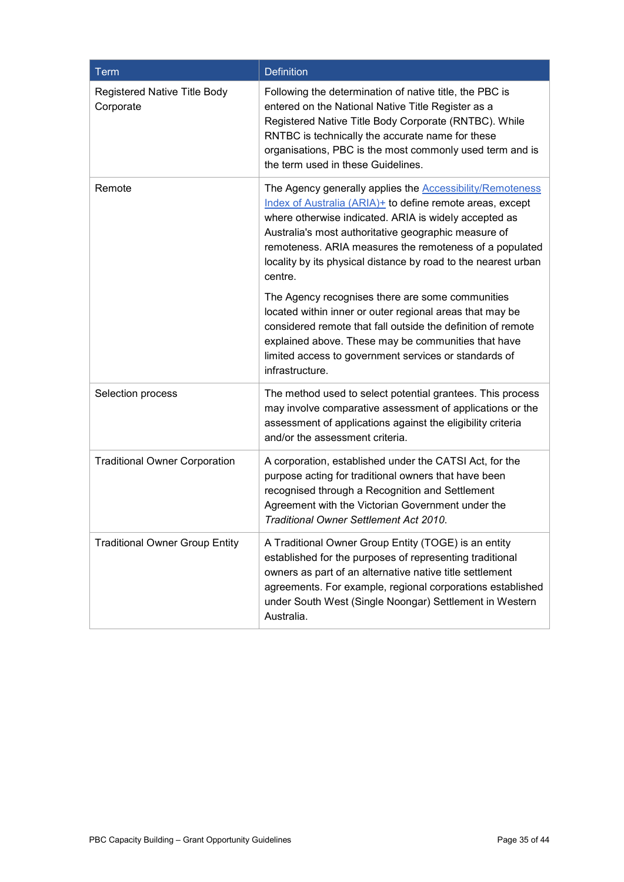| <b>Term</b>                                      | <b>Definition</b>                                                                                                                                                                                                                                                                                                                                                                      |
|--------------------------------------------------|----------------------------------------------------------------------------------------------------------------------------------------------------------------------------------------------------------------------------------------------------------------------------------------------------------------------------------------------------------------------------------------|
| <b>Registered Native Title Body</b><br>Corporate | Following the determination of native title, the PBC is<br>entered on the National Native Title Register as a<br>Registered Native Title Body Corporate (RNTBC). While<br>RNTBC is technically the accurate name for these<br>organisations, PBC is the most commonly used term and is<br>the term used in these Guidelines.                                                           |
| Remote                                           | The Agency generally applies the <b>Accessibility/Remoteness</b><br>Index of Australia (ARIA)+ to define remote areas, except<br>where otherwise indicated. ARIA is widely accepted as<br>Australia's most authoritative geographic measure of<br>remoteness. ARIA measures the remoteness of a populated<br>locality by its physical distance by road to the nearest urban<br>centre. |
|                                                  | The Agency recognises there are some communities<br>located within inner or outer regional areas that may be<br>considered remote that fall outside the definition of remote<br>explained above. These may be communities that have<br>limited access to government services or standards of<br>infrastructure.                                                                        |
| Selection process                                | The method used to select potential grantees. This process<br>may involve comparative assessment of applications or the<br>assessment of applications against the eligibility criteria<br>and/or the assessment criteria.                                                                                                                                                              |
| <b>Traditional Owner Corporation</b>             | A corporation, established under the CATSI Act, for the<br>purpose acting for traditional owners that have been<br>recognised through a Recognition and Settlement<br>Agreement with the Victorian Government under the<br>Traditional Owner Settlement Act 2010.                                                                                                                      |
| <b>Traditional Owner Group Entity</b>            | A Traditional Owner Group Entity (TOGE) is an entity<br>established for the purposes of representing traditional<br>owners as part of an alternative native title settlement<br>agreements. For example, regional corporations established<br>under South West (Single Noongar) Settlement in Western<br>Australia.                                                                    |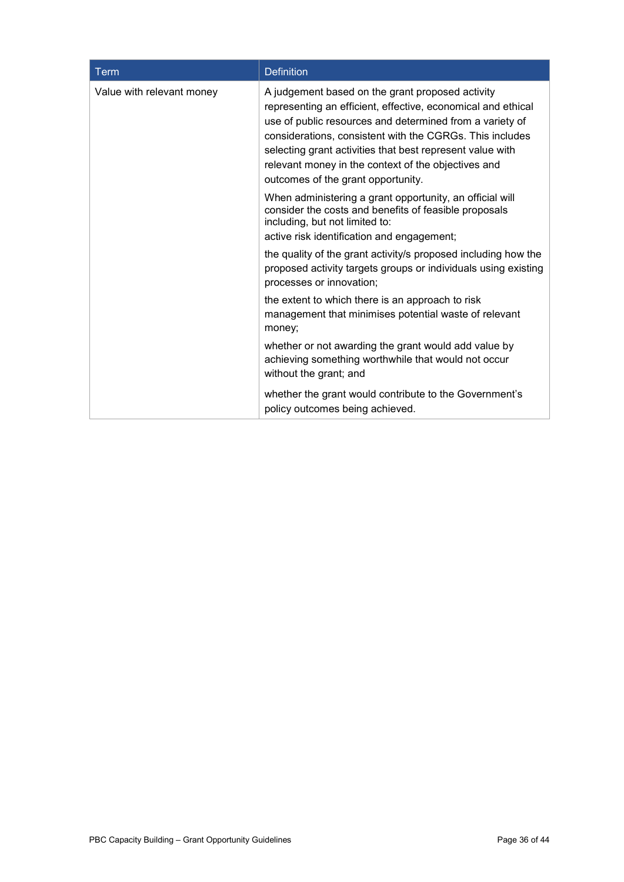| <b>Term</b>               | <b>Definition</b>                                                                                                                                                                                                                                                                                                                                                                                  |
|---------------------------|----------------------------------------------------------------------------------------------------------------------------------------------------------------------------------------------------------------------------------------------------------------------------------------------------------------------------------------------------------------------------------------------------|
| Value with relevant money | A judgement based on the grant proposed activity<br>representing an efficient, effective, economical and ethical<br>use of public resources and determined from a variety of<br>considerations, consistent with the CGRGs. This includes<br>selecting grant activities that best represent value with<br>relevant money in the context of the objectives and<br>outcomes of the grant opportunity. |
|                           | When administering a grant opportunity, an official will<br>consider the costs and benefits of feasible proposals<br>including, but not limited to:<br>active risk identification and engagement;                                                                                                                                                                                                  |
|                           | the quality of the grant activity/s proposed including how the<br>proposed activity targets groups or individuals using existing<br>processes or innovation;                                                                                                                                                                                                                                       |
|                           | the extent to which there is an approach to risk<br>management that minimises potential waste of relevant<br>money;                                                                                                                                                                                                                                                                                |
|                           | whether or not awarding the grant would add value by<br>achieving something worthwhile that would not occur<br>without the grant; and                                                                                                                                                                                                                                                              |
|                           | whether the grant would contribute to the Government's<br>policy outcomes being achieved.                                                                                                                                                                                                                                                                                                          |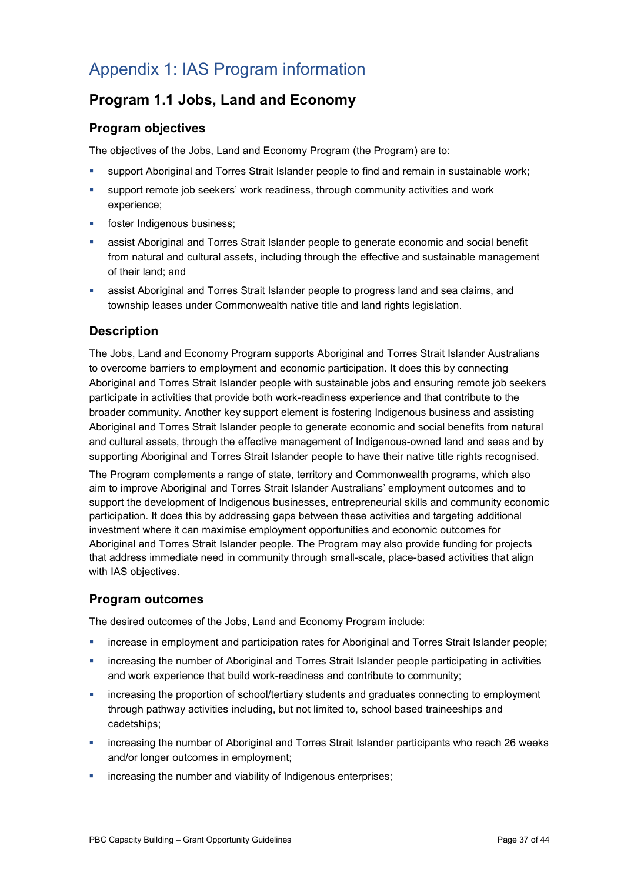# Appendix 1: IAS Program information

## **Program 1.1 Jobs, Land and Economy**

### **Program objectives**

The objectives of the Jobs, Land and Economy Program (the Program) are to:

- support Aboriginal and Torres Strait Islander people to find and remain in sustainable work;
- support remote job seekers' work readiness, through community activities and work experience;
- foster Indigenous business;
- assist Aboriginal and Torres Strait Islander people to generate economic and social benefit from natural and cultural assets, including through the effective and sustainable management of their land; and
- assist Aboriginal and Torres Strait Islander people to progress land and sea claims, and township leases under Commonwealth native title and land rights legislation.

### **Description**

The Jobs, Land and Economy Program supports Aboriginal and Torres Strait Islander Australians to overcome barriers to employment and economic participation. It does this by connecting Aboriginal and Torres Strait Islander people with sustainable jobs and ensuring remote job seekers participate in activities that provide both work-readiness experience and that contribute to the broader community. Another key support element is fostering Indigenous business and assisting Aboriginal and Torres Strait Islander people to generate economic and social benefits from natural and cultural assets, through the effective management of Indigenous-owned land and seas and by supporting Aboriginal and Torres Strait Islander people to have their native title rights recognised.

The Program complements a range of state, territory and Commonwealth programs, which also aim to improve Aboriginal and Torres Strait Islander Australians' employment outcomes and to support the development of Indigenous businesses, entrepreneurial skills and community economic participation. It does this by addressing gaps between these activities and targeting additional investment where it can maximise employment opportunities and economic outcomes for Aboriginal and Torres Strait Islander people. The Program may also provide funding for projects that address immediate need in community through small-scale, place-based activities that align with IAS objectives.

### **Program outcomes**

The desired outcomes of the Jobs, Land and Economy Program include:

- increase in employment and participation rates for Aboriginal and Torres Strait Islander people;
- increasing the number of Aboriginal and Torres Strait Islander people participating in activities and work experience that build work-readiness and contribute to community;
- increasing the proportion of school/tertiary students and graduates connecting to employment through pathway activities including, but not limited to, school based traineeships and cadetships;
- **Example 1** increasing the number of Aboriginal and Torres Strait Islander participants who reach 26 weeks and/or longer outcomes in employment;
- increasing the number and viability of Indigenous enterprises;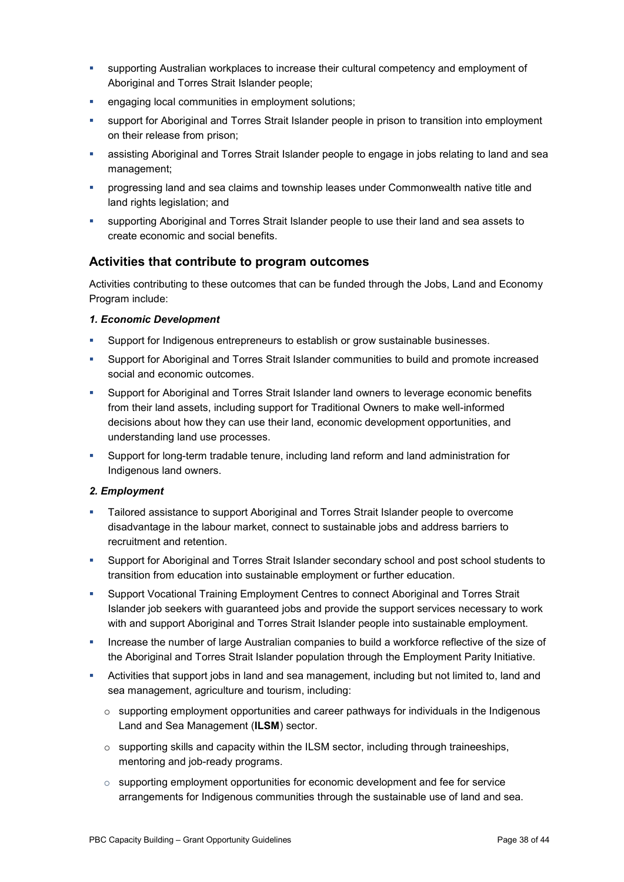- supporting Australian workplaces to increase their cultural competency and employment of Aboriginal and Torres Strait Islander people;
- engaging local communities in employment solutions;
- support for Aboriginal and Torres Strait Islander people in prison to transition into employment on their release from prison;
- **Example 3 assisting Aboriginal and Torres Strait Islander people to engage in jobs relating to land and sea** management;
- **Progressing land and sea claims and township leases under Commonwealth native title and** land rights legislation; and
- supporting Aboriginal and Torres Strait Islander people to use their land and sea assets to create economic and social benefits.

#### **Activities that contribute to program outcomes**

Activities contributing to these outcomes that can be funded through the Jobs, Land and Economy Program include:

#### *1. Economic Development*

- **Support for Indigenous entrepreneurs to establish or grow sustainable businesses.**
- Support for Aboriginal and Torres Strait Islander communities to build and promote increased social and economic outcomes.
- Support for Aboriginal and Torres Strait Islander land owners to leverage economic benefits from their land assets, including support for Traditional Owners to make well-informed decisions about how they can use their land, economic development opportunities, and understanding land use processes.
- Support for long-term tradable tenure, including land reform and land administration for Indigenous land owners.

#### *2. Employment*

- Tailored assistance to support Aboriginal and Torres Strait Islander people to overcome disadvantage in the labour market, connect to sustainable jobs and address barriers to recruitment and retention.
- Support for Aboriginal and Torres Strait Islander secondary school and post school students to transition from education into sustainable employment or further education.
- Support Vocational Training Employment Centres to connect Aboriginal and Torres Strait Islander job seekers with guaranteed jobs and provide the support services necessary to work with and support Aboriginal and Torres Strait Islander people into sustainable employment.
- **Increase the number of large Australian companies to build a workforce reflective of the size of** the Aboriginal and Torres Strait Islander population through the Employment Parity Initiative.
- Activities that support jobs in land and sea management, including but not limited to, land and sea management, agriculture and tourism, including:
	- $\circ$  supporting employment opportunities and career pathways for individuals in the Indigenous Land and Sea Management (**ILSM**) sector.
	- $\circ$  supporting skills and capacity within the ILSM sector, including through traineeships, mentoring and job-ready programs.
	- $\circ$  supporting employment opportunities for economic development and fee for service arrangements for Indigenous communities through the sustainable use of land and sea.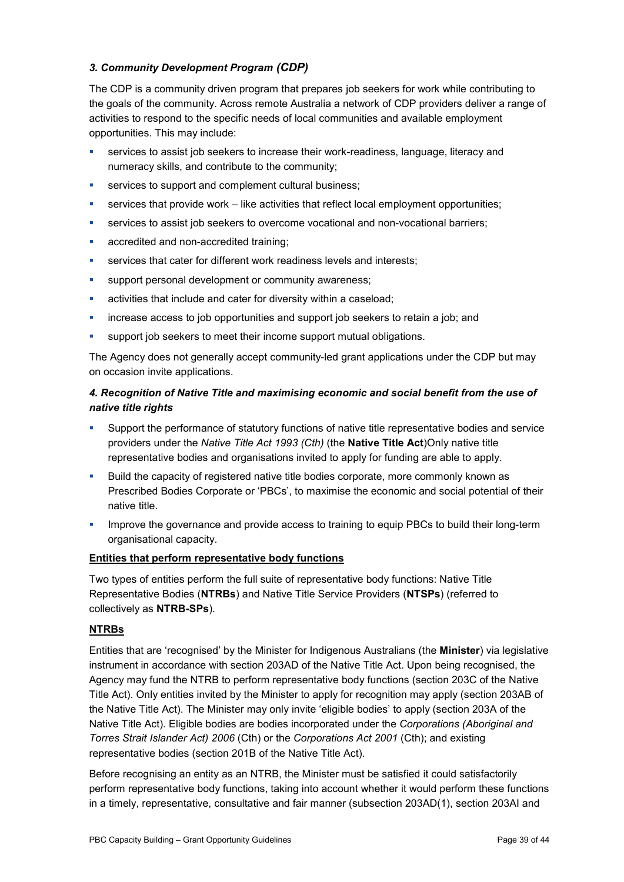#### *3. Community Development Program (CDP)*

The CDP is a community driven program that prepares job seekers for work while contributing to the goals of the community. Across remote Australia a network of CDP providers deliver a range of activities to respond to the specific needs of local communities and available employment opportunities. This may include:

- services to assist job seekers to increase their work-readiness, language, literacy and numeracy skills, and contribute to the community;
- services to support and complement cultural business;
- services that provide work like activities that reflect local employment opportunities;
- services to assist job seekers to overcome vocational and non-vocational barriers;
- accredited and non-accredited training;
- **services that cater for different work readiness levels and interests;**
- support personal development or community awareness;
- **•** activities that include and cater for diversity within a caseload;
- increase access to job opportunities and support job seekers to retain a job; and
- **support job seekers to meet their income support mutual obligations.**

The Agency does not generally accept community-led grant applications under the CDP but may on occasion invite applications.

#### *4. Recognition of Native Title and maximising economic and social benefit from the use of native title rights*

- Support the performance of statutory functions of native title representative bodies and service providers under the *Native Title Act 1993 (Cth)* (the **Native Title Act**)Only native title representative bodies and organisations invited to apply for funding are able to apply.
- Build the capacity of registered native title bodies corporate, more commonly known as Prescribed Bodies Corporate or 'PBCs', to maximise the economic and social potential of their native title.
- **IMPROVE THE GOVERTHER AND FIGURE 2018 12 IMPROVE AT ADDET** IMPROVE the governance and provide access to training to equip PBCs to build their long-term organisational capacity.

#### **Entities that perform representative body functions**

Two types of entities perform the full suite of representative body functions: Native Title Representative Bodies (**NTRBs**) and Native Title Service Providers (**NTSPs**) (referred to collectively as **NTRB-SPs**).

#### **NTRBs**

Entities that are 'recognised' by the Minister for Indigenous Australians (the **Minister**) via legislative instrument in accordance with section 203AD of the Native Title Act. Upon being recognised, the Agency may fund the NTRB to perform representative body functions (section 203C of the Native Title Act). Only entities invited by the Minister to apply for recognition may apply (section 203AB of the Native Title Act). The Minister may only invite 'eligible bodies' to apply (section 203A of the Native Title Act). Eligible bodies are bodies incorporated under the *Corporations (Aboriginal and Torres Strait Islander Act) 2006* (Cth) or the *Corporations Act 2001* (Cth); and existing representative bodies (section 201B of the Native Title Act).

Before recognising an entity as an NTRB, the Minister must be satisfied it could satisfactorily perform representative body functions, taking into account whether it would perform these functions in a timely, representative, consultative and fair manner (subsection 203AD(1), section 203AI and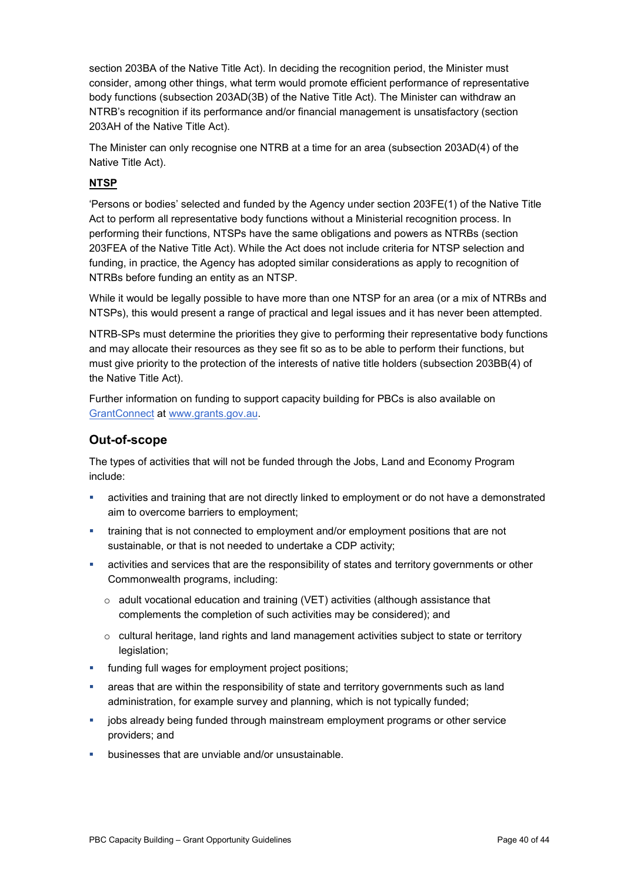section 203BA of the Native Title Act). In deciding the recognition period, the Minister must consider, among other things, what term would promote efficient performance of representative body functions (subsection 203AD(3B) of the Native Title Act). The Minister can withdraw an NTRB's recognition if its performance and/or financial management is unsatisfactory (section 203AH of the Native Title Act).

The Minister can only recognise one NTRB at a time for an area (subsection 203AD(4) of the Native Title Act).

#### **NTSP**

'Persons or bodies' selected and funded by the Agency under section 203FE(1) of the Native Title Act to perform all representative body functions without a Ministerial recognition process. In performing their functions, NTSPs have the same obligations and powers as NTRBs (section 203FEA of the Native Title Act). While the Act does not include criteria for NTSP selection and funding, in practice, the Agency has adopted similar considerations as apply to recognition of NTRBs before funding an entity as an NTSP.

While it would be legally possible to have more than one NTSP for an area (or a mix of NTRBs and NTSPs), this would present a range of practical and legal issues and it has never been attempted.

NTRB-SPs must determine the priorities they give to performing their representative body functions and may allocate their resources as they see fit so as to be able to perform their functions, but must give priority to the protection of the interests of native title holders (subsection 203BB(4) of the Native Title Act).

Further information on funding to support capacity building for PBCs is also available on [GrantConnect](https://www.grants.gov.au/) at [www.grants.gov.au.](http://www.grants.gov.au/)

#### **Out-of-scope**

The types of activities that will not be funded through the Jobs, Land and Economy Program include:

- activities and training that are not directly linked to employment or do not have a demonstrated aim to overcome barriers to employment;
- training that is not connected to employment and/or employment positions that are not sustainable, or that is not needed to undertake a CDP activity;
- activities and services that are the responsibility of states and territory governments or other Commonwealth programs, including:
	- o adult vocational education and training (VET) activities (although assistance that complements the completion of such activities may be considered); and
	- o cultural heritage, land rights and land management activities subject to state or territory legislation;
- **•** funding full wages for employment project positions;
- areas that are within the responsibility of state and territory governments such as land administration, for example survey and planning, which is not typically funded;
- jobs already being funded through mainstream employment programs or other service providers; and
- businesses that are unviable and/or unsustainable.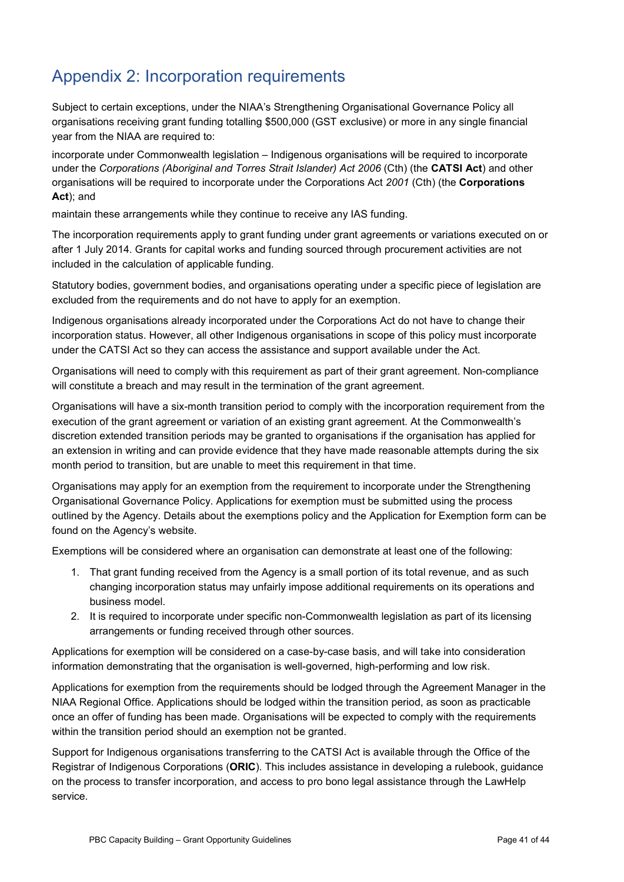# Appendix 2: Incorporation requirements

Subject to certain exceptions, under the NIAA's Strengthening Organisational Governance Policy all organisations receiving grant funding totalling \$500,000 (GST exclusive) or more in any single financial year from the NIAA are required to:

incorporate under Commonwealth legislation – Indigenous organisations will be required to incorporate under the *Corporations (Aboriginal and Torres Strait Islander) Act 2006* (Cth) (the **CATSI Act**) and other organisations will be required to incorporate under the Corporations Act *2001* (Cth) (the **Corporations Act**); and

maintain these arrangements while they continue to receive any IAS funding.

The incorporation requirements apply to grant funding under grant agreements or variations executed on or after 1 July 2014. Grants for capital works and funding sourced through procurement activities are not included in the calculation of applicable funding.

Statutory bodies, government bodies, and organisations operating under a specific piece of legislation are excluded from the requirements and do not have to apply for an exemption.

Indigenous organisations already incorporated under the Corporations Act do not have to change their incorporation status. However, all other Indigenous organisations in scope of this policy must incorporate under the CATSI Act so they can access the assistance and support available under the Act.

Organisations will need to comply with this requirement as part of their grant agreement. Non-compliance will constitute a breach and may result in the termination of the grant agreement.

Organisations will have a six-month transition period to comply with the incorporation requirement from the execution of the grant agreement or variation of an existing grant agreement. At the Commonwealth's discretion extended transition periods may be granted to organisations if the organisation has applied for an extension in writing and can provide evidence that they have made reasonable attempts during the six month period to transition, but are unable to meet this requirement in that time.

Organisations may apply for an exemption from the requirement to incorporate under the Strengthening Organisational Governance Policy. Applications for exemption must be submitted using the process outlined by the Agency. Details about the exemptions policy and the Application for Exemption form can be found on the [Agency's website.](http://www.dpmc.gov.au/indigenous-affairs/incorporation-requirements)

Exemptions will be considered where an organisation can demonstrate at least one of the following:

- 1. That grant funding received from the Agency is a small portion of its total revenue, and as such changing incorporation status may unfairly impose additional requirements on its operations and business model.
- 2. It is required to incorporate under specific non-Commonwealth legislation as part of its licensing arrangements or funding received through other sources.

Applications for exemption will be considered on a case-by-case basis, and will take into consideration information demonstrating that the organisation is well-governed, high-performing and low risk.

Applications for exemption from the requirements should be lodged through the Agreement Manager in the NIAA Regional Office. Applications should be lodged within the transition period, as soon as practicable once an offer of funding has been made. Organisations will be expected to comply with the requirements within the transition period should an exemption not be granted.

Support for Indigenous organisations transferring to the CATSI Act is available through the Office of the Registrar of Indigenous Corporations (**ORIC**). This includes assistance in developing a rulebook, guidance on the process to transfer incorporation, and access to pro bono legal assistance through the LawHelp service.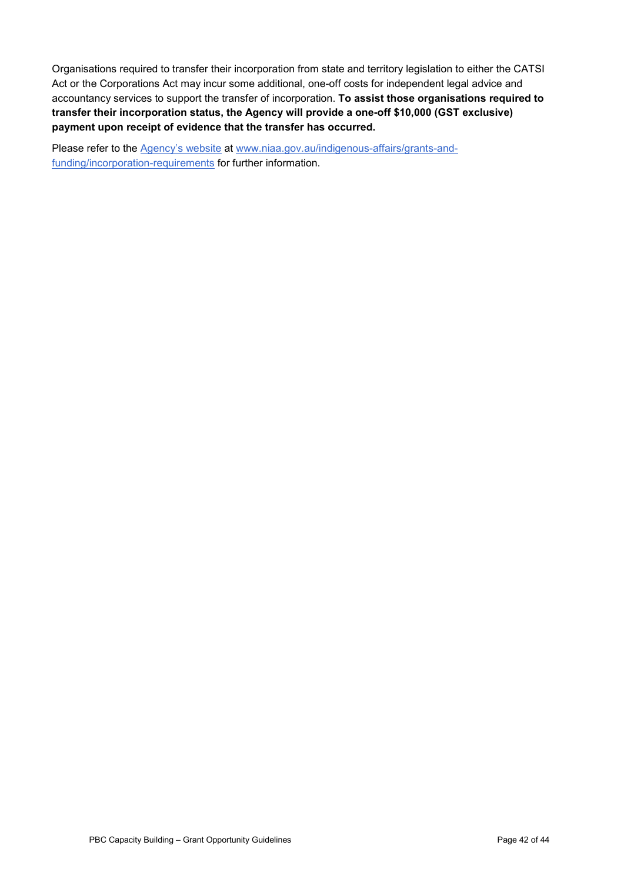Organisations required to transfer their incorporation from state and territory legislation to either the CATSI Act or the Corporations Act may incur some additional, one-off costs for independent legal advice and accountancy services to support the transfer of incorporation. **To assist those organisations required to transfer their incorporation status, the Agency will provide a one-off \$10,000 (GST exclusive) payment upon receipt of evidence that the transfer has occurred.**

Please refer to the [Agency's website](https://www.pmc.gov.au/indigenous-affairs/grants-and-funding/incorporation-requirements) at [www.niaa.gov.au/indigenous-affairs/grants-and](http://www.niaa.gov.au/indigenous-affairs/grants-and-funding/incorporation-requirements)[funding/incorporation-requirements](http://www.niaa.gov.au/indigenous-affairs/grants-and-funding/incorporation-requirements) for further information.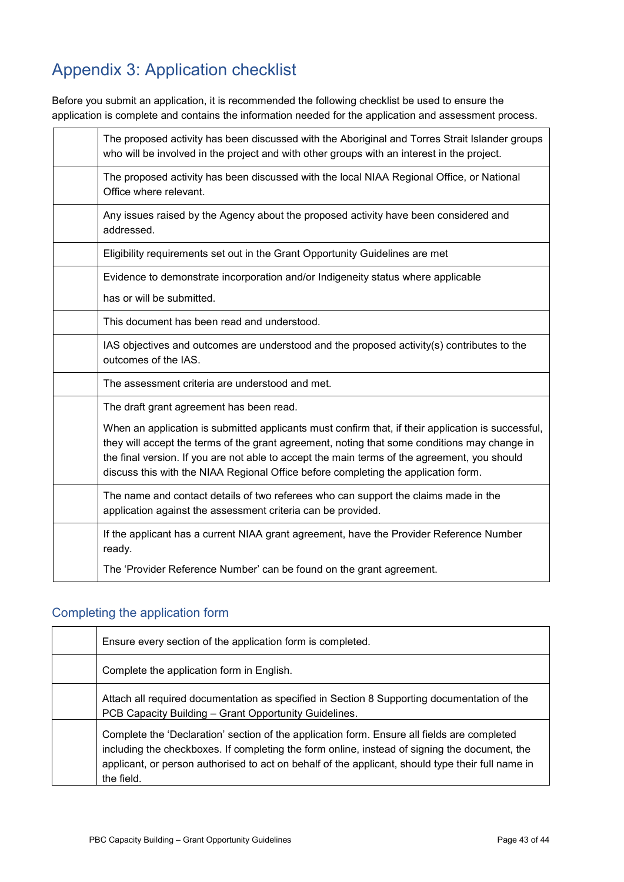# <span id="page-42-0"></span>Appendix 3: Application checklist

Before you submit an application, it is recommended the following checklist be used to ensure the application is complete and contains the information needed for the application and assessment process.

| The proposed activity has been discussed with the Aboriginal and Torres Strait Islander groups<br>who will be involved in the project and with other groups with an interest in the project.                                                                                                                                                                                             |
|------------------------------------------------------------------------------------------------------------------------------------------------------------------------------------------------------------------------------------------------------------------------------------------------------------------------------------------------------------------------------------------|
| The proposed activity has been discussed with the local NIAA Regional Office, or National<br>Office where relevant.                                                                                                                                                                                                                                                                      |
| Any issues raised by the Agency about the proposed activity have been considered and<br>addressed.                                                                                                                                                                                                                                                                                       |
| Eligibility requirements set out in the Grant Opportunity Guidelines are met                                                                                                                                                                                                                                                                                                             |
| Evidence to demonstrate incorporation and/or Indigeneity status where applicable                                                                                                                                                                                                                                                                                                         |
| has or will be submitted.                                                                                                                                                                                                                                                                                                                                                                |
| This document has been read and understood.                                                                                                                                                                                                                                                                                                                                              |
| IAS objectives and outcomes are understood and the proposed activity(s) contributes to the<br>outcomes of the IAS.                                                                                                                                                                                                                                                                       |
| The assessment criteria are understood and met.                                                                                                                                                                                                                                                                                                                                          |
| The draft grant agreement has been read.                                                                                                                                                                                                                                                                                                                                                 |
| When an application is submitted applicants must confirm that, if their application is successful,<br>they will accept the terms of the grant agreement, noting that some conditions may change in<br>the final version. If you are not able to accept the main terms of the agreement, you should<br>discuss this with the NIAA Regional Office before completing the application form. |
| The name and contact details of two referees who can support the claims made in the<br>application against the assessment criteria can be provided.                                                                                                                                                                                                                                      |
| If the applicant has a current NIAA grant agreement, have the Provider Reference Number<br>ready.                                                                                                                                                                                                                                                                                        |
| The 'Provider Reference Number' can be found on the grant agreement.                                                                                                                                                                                                                                                                                                                     |

### Completing the application form

| Ensure every section of the application form is completed.                                                                                                                                                                                                                                                      |
|-----------------------------------------------------------------------------------------------------------------------------------------------------------------------------------------------------------------------------------------------------------------------------------------------------------------|
| Complete the application form in English.                                                                                                                                                                                                                                                                       |
| Attach all required documentation as specified in Section 8 Supporting documentation of the<br>PCB Capacity Building - Grant Opportunity Guidelines.                                                                                                                                                            |
| Complete the 'Declaration' section of the application form. Ensure all fields are completed<br>including the checkboxes. If completing the form online, instead of signing the document, the<br>applicant, or person authorised to act on behalf of the applicant, should type their full name in<br>the field. |